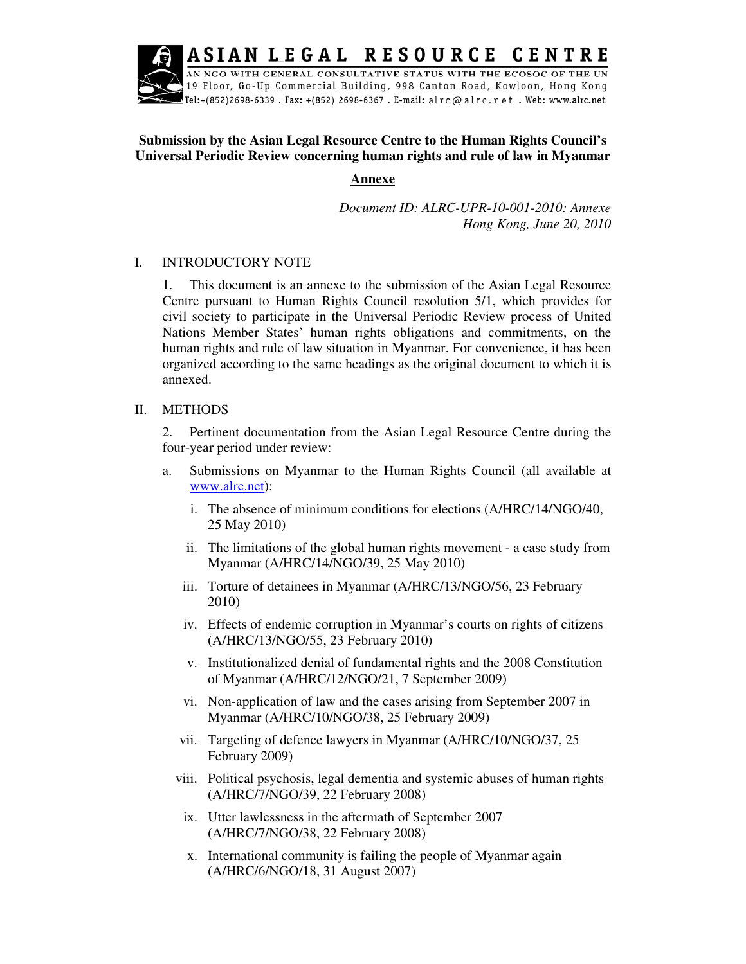**RESOURCE** ASIAN LEGAL CENTRE

AN NGO WITH GENERAL CONSULTATIVE STATUS WITH THE ECOSOC OF THE UN 19 Floor, Go-Up Commercial Building, 998 Canton Road, Kowloon, Hong Kong .<br>Tel:+(852)2698-6339 . Fax: +(852) 2698-6367 . E-mail: alrc@alrc.net . Web: www.alrc.net

# **Submission by the Asian Legal Resource Centre to the Human Rights Council's Universal Periodic Review concerning human rights and rule of law in Myanmar**

## **Annexe**

*Document ID: ALRC-UPR-10-001-2010: Annexe Hong Kong, June 20, 2010* 

# I. INTRODUCTORY NOTE

1. This document is an annexe to the submission of the Asian Legal Resource Centre pursuant to Human Rights Council resolution 5/1, which provides for civil society to participate in the Universal Periodic Review process of United Nations Member States' human rights obligations and commitments, on the human rights and rule of law situation in Myanmar. For convenience, it has been organized according to the same headings as the original document to which it is annexed.

# II. METHODS

2. Pertinent documentation from the Asian Legal Resource Centre during the four-year period under review:

- a. Submissions on Myanmar to the Human Rights Council (all available at www.alrc.net):
	- i. The absence of minimum conditions for elections (A/HRC/14/NGO/40, 25 May 2010)
	- ii. The limitations of the global human rights movement a case study from Myanmar (A/HRC/14/NGO/39, 25 May 2010)
	- iii. Torture of detainees in Myanmar (A/HRC/13/NGO/56, 23 February 2010)
	- iv. Effects of endemic corruption in Myanmar's courts on rights of citizens (A/HRC/13/NGO/55, 23 February 2010)
	- v. Institutionalized denial of fundamental rights and the 2008 Constitution of Myanmar (A/HRC/12/NGO/21, 7 September 2009)
	- vi. Non-application of law and the cases arising from September 2007 in Myanmar (A/HRC/10/NGO/38, 25 February 2009)
	- vii. Targeting of defence lawyers in Myanmar (A/HRC/10/NGO/37, 25 February 2009)
	- viii. Political psychosis, legal dementia and systemic abuses of human rights (A/HRC/7/NGO/39, 22 February 2008)
	- ix. Utter lawlessness in the aftermath of September 2007 (A/HRC/7/NGO/38, 22 February 2008)
	- x. International community is failing the people of Myanmar again (A/HRC/6/NGO/18, 31 August 2007)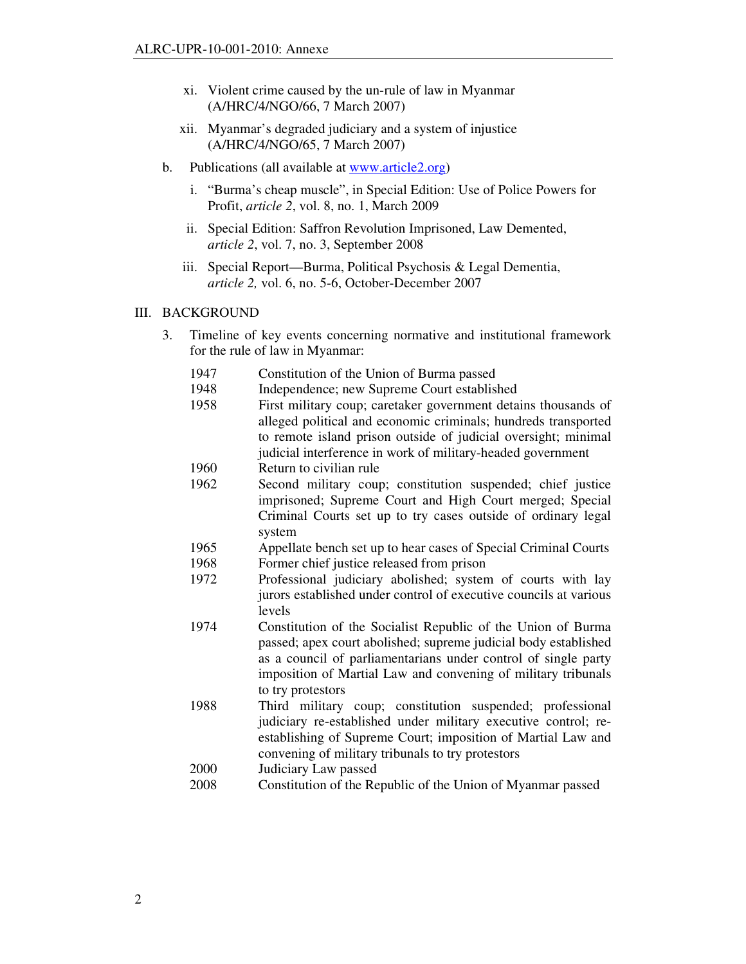- xi. Violent crime caused by the un-rule of law in Myanmar (A/HRC/4/NGO/66, 7 March 2007)
- xii. Myanmar's degraded judiciary and a system of injustice (A/HRC/4/NGO/65, 7 March 2007)
- b. Publications (all available at www.article2.org)
	- i. "Burma's cheap muscle", in Special Edition: Use of Police Powers for Profit, *article 2*, vol. 8, no. 1, March 2009
	- ii. Special Edition: Saffron Revolution Imprisoned, Law Demented, *article 2*, vol. 7, no. 3, September 2008
	- iii. Special Report—Burma, Political Psychosis & Legal Dementia, *article 2,* vol. 6, no. 5-6, October-December 2007

## III. BACKGROUND

- 3. Timeline of key events concerning normative and institutional framework for the rule of law in Myanmar:
	- 1947 Constitution of the Union of Burma passed
	- 1948 Independence; new Supreme Court established
	- 1958 First military coup; caretaker government detains thousands of alleged political and economic criminals; hundreds transported to remote island prison outside of judicial oversight; minimal judicial interference in work of military-headed government
	- 1960 Return to civilian rule
	- 1962 Second military coup; constitution suspended; chief justice imprisoned; Supreme Court and High Court merged; Special Criminal Courts set up to try cases outside of ordinary legal system
	- 1965 Appellate bench set up to hear cases of Special Criminal Courts 1968 Former chief justice released from prison
	- 1972 Professional judiciary abolished; system of courts with lay
	- jurors established under control of executive councils at various levels
	- 1974 Constitution of the Socialist Republic of the Union of Burma passed; apex court abolished; supreme judicial body established as a council of parliamentarians under control of single party imposition of Martial Law and convening of military tribunals to try protestors
	- 1988 Third military coup; constitution suspended; professional judiciary re-established under military executive control; reestablishing of Supreme Court; imposition of Martial Law and convening of military tribunals to try protestors
	- 2000 Judiciary Law passed
	- 2008 Constitution of the Republic of the Union of Myanmar passed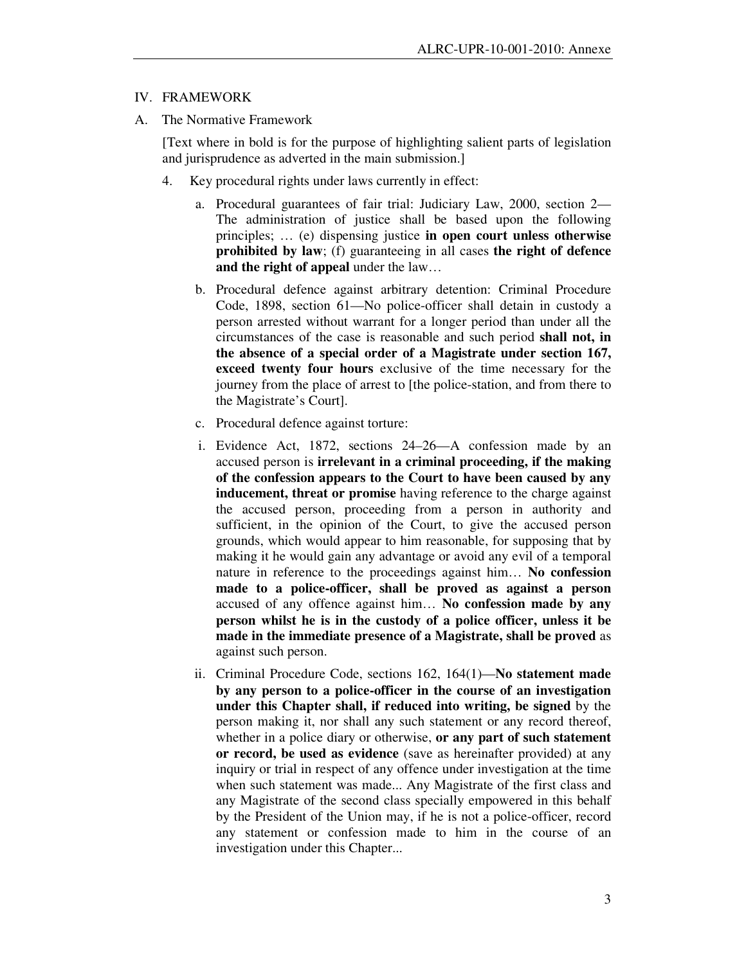#### IV. FRAMEWORK

A. The Normative Framework

[Text where in bold is for the purpose of highlighting salient parts of legislation and jurisprudence as adverted in the main submission.]

- 4. Key procedural rights under laws currently in effect:
	- a. Procedural guarantees of fair trial: Judiciary Law, 2000, section 2— The administration of justice shall be based upon the following principles; … (e) dispensing justice **in open court unless otherwise prohibited by law**; (f) guaranteeing in all cases **the right of defence and the right of appeal** under the law…
	- b. Procedural defence against arbitrary detention: Criminal Procedure Code, 1898, section 61—No police-officer shall detain in custody a person arrested without warrant for a longer period than under all the circumstances of the case is reasonable and such period **shall not, in the absence of a special order of a Magistrate under section 167, exceed twenty four hours** exclusive of the time necessary for the journey from the place of arrest to [the police-station, and from there to the Magistrate's Court].
	- c. Procedural defence against torture:
	- i. Evidence Act, 1872, sections 24–26—A confession made by an accused person is **irrelevant in a criminal proceeding, if the making of the confession appears to the Court to have been caused by any inducement, threat or promise** having reference to the charge against the accused person, proceeding from a person in authority and sufficient, in the opinion of the Court, to give the accused person grounds, which would appear to him reasonable, for supposing that by making it he would gain any advantage or avoid any evil of a temporal nature in reference to the proceedings against him… **No confession made to a police-officer, shall be proved as against a person** accused of any offence against him… **No confession made by any person whilst he is in the custody of a police officer, unless it be made in the immediate presence of a Magistrate, shall be proved** as against such person.
	- ii. Criminal Procedure Code, sections 162, 164(1)—**No statement made by any person to a police-officer in the course of an investigation under this Chapter shall, if reduced into writing, be signed** by the person making it, nor shall any such statement or any record thereof, whether in a police diary or otherwise, **or any part of such statement or record, be used as evidence** (save as hereinafter provided) at any inquiry or trial in respect of any offence under investigation at the time when such statement was made... Any Magistrate of the first class and any Magistrate of the second class specially empowered in this behalf by the President of the Union may, if he is not a police-officer, record any statement or confession made to him in the course of an investigation under this Chapter...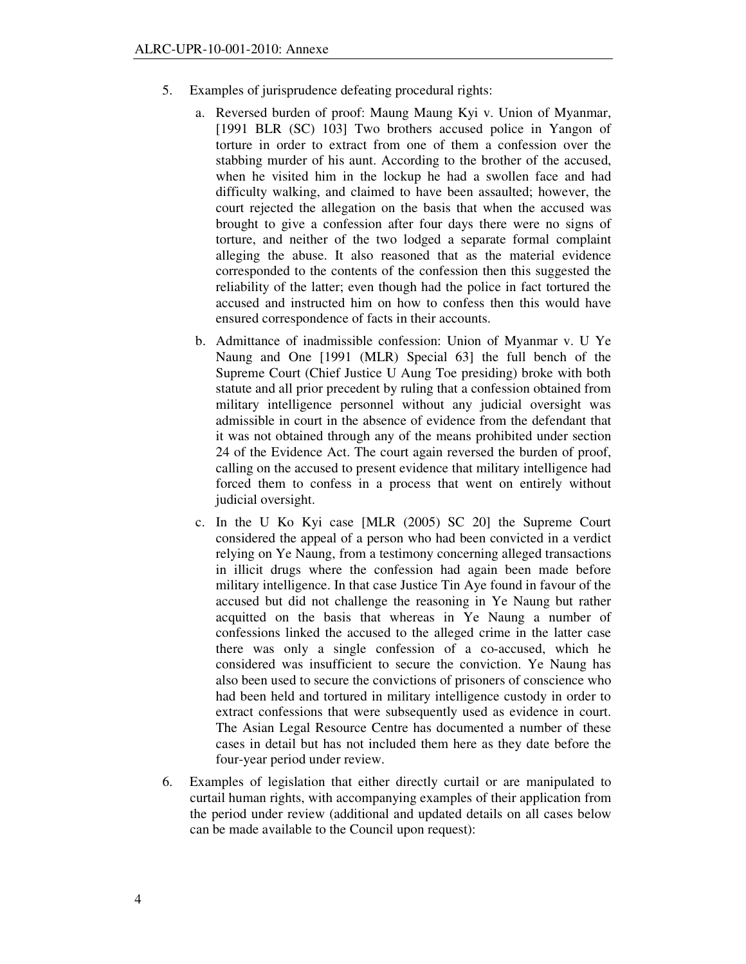- 5. Examples of jurisprudence defeating procedural rights:
	- a. Reversed burden of proof: Maung Maung Kyi v. Union of Myanmar, [1991 BLR (SC) 103] Two brothers accused police in Yangon of torture in order to extract from one of them a confession over the stabbing murder of his aunt. According to the brother of the accused, when he visited him in the lockup he had a swollen face and had difficulty walking, and claimed to have been assaulted; however, the court rejected the allegation on the basis that when the accused was brought to give a confession after four days there were no signs of torture, and neither of the two lodged a separate formal complaint alleging the abuse. It also reasoned that as the material evidence corresponded to the contents of the confession then this suggested the reliability of the latter; even though had the police in fact tortured the accused and instructed him on how to confess then this would have ensured correspondence of facts in their accounts.
	- b. Admittance of inadmissible confession: Union of Myanmar v. U Ye Naung and One [1991 (MLR) Special 63] the full bench of the Supreme Court (Chief Justice U Aung Toe presiding) broke with both statute and all prior precedent by ruling that a confession obtained from military intelligence personnel without any judicial oversight was admissible in court in the absence of evidence from the defendant that it was not obtained through any of the means prohibited under section 24 of the Evidence Act. The court again reversed the burden of proof, calling on the accused to present evidence that military intelligence had forced them to confess in a process that went on entirely without judicial oversight.
	- c. In the U Ko Kyi case [MLR (2005) SC 20] the Supreme Court considered the appeal of a person who had been convicted in a verdict relying on Ye Naung, from a testimony concerning alleged transactions in illicit drugs where the confession had again been made before military intelligence. In that case Justice Tin Aye found in favour of the accused but did not challenge the reasoning in Ye Naung but rather acquitted on the basis that whereas in Ye Naung a number of confessions linked the accused to the alleged crime in the latter case there was only a single confession of a co-accused, which he considered was insufficient to secure the conviction. Ye Naung has also been used to secure the convictions of prisoners of conscience who had been held and tortured in military intelligence custody in order to extract confessions that were subsequently used as evidence in court. The Asian Legal Resource Centre has documented a number of these cases in detail but has not included them here as they date before the four-year period under review.
- 6. Examples of legislation that either directly curtail or are manipulated to curtail human rights, with accompanying examples of their application from the period under review (additional and updated details on all cases below can be made available to the Council upon request):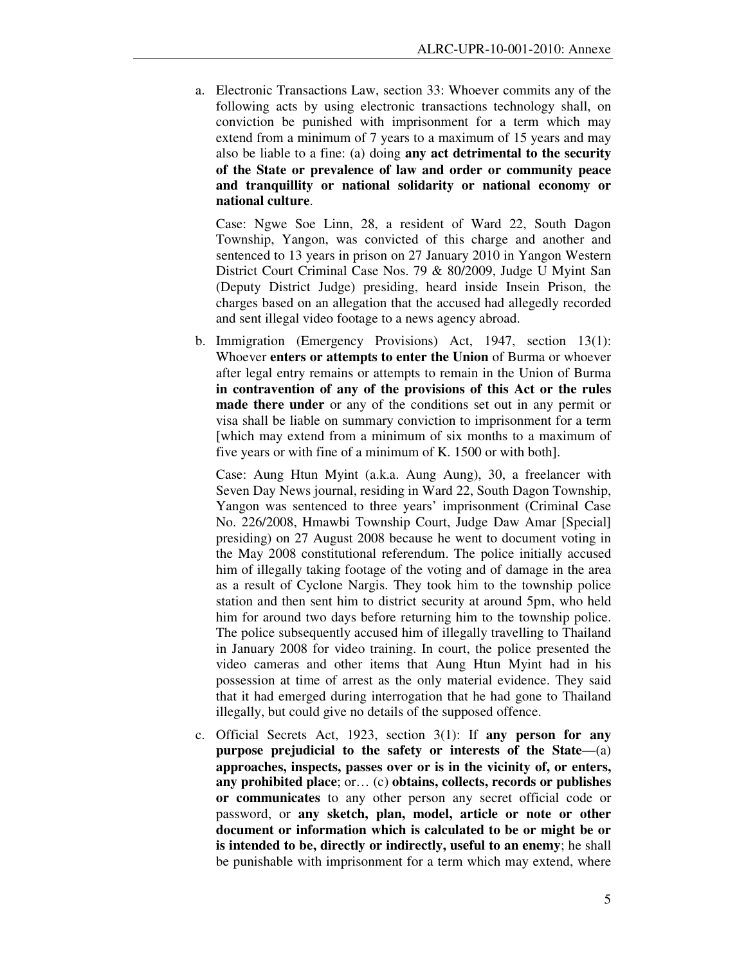a. Electronic Transactions Law, section 33: Whoever commits any of the following acts by using electronic transactions technology shall, on conviction be punished with imprisonment for a term which may extend from a minimum of 7 years to a maximum of 15 years and may also be liable to a fine: (a) doing **any act detrimental to the security of the State or prevalence of law and order or community peace and tranquillity or national solidarity or national economy or national culture**.

Case: Ngwe Soe Linn, 28, a resident of Ward 22, South Dagon Township, Yangon, was convicted of this charge and another and sentenced to 13 years in prison on 27 January 2010 in Yangon Western District Court Criminal Case Nos. 79 & 80/2009, Judge U Myint San (Deputy District Judge) presiding, heard inside Insein Prison, the charges based on an allegation that the accused had allegedly recorded and sent illegal video footage to a news agency abroad.

b. Immigration (Emergency Provisions) Act, 1947, section 13(1): Whoever **enters or attempts to enter the Union** of Burma or whoever after legal entry remains or attempts to remain in the Union of Burma **in contravention of any of the provisions of this Act or the rules made there under** or any of the conditions set out in any permit or visa shall be liable on summary conviction to imprisonment for a term [which may extend from a minimum of six months to a maximum of five years or with fine of a minimum of K. 1500 or with both].

Case: Aung Htun Myint (a.k.a. Aung Aung), 30, a freelancer with Seven Day News journal, residing in Ward 22, South Dagon Township, Yangon was sentenced to three years' imprisonment (Criminal Case No. 226/2008, Hmawbi Township Court, Judge Daw Amar [Special] presiding) on 27 August 2008 because he went to document voting in the May 2008 constitutional referendum. The police initially accused him of illegally taking footage of the voting and of damage in the area as a result of Cyclone Nargis. They took him to the township police station and then sent him to district security at around 5pm, who held him for around two days before returning him to the township police. The police subsequently accused him of illegally travelling to Thailand in January 2008 for video training. In court, the police presented the video cameras and other items that Aung Htun Myint had in his possession at time of arrest as the only material evidence. They said that it had emerged during interrogation that he had gone to Thailand illegally, but could give no details of the supposed offence.

c. Official Secrets Act, 1923, section 3(1): If **any person for any purpose prejudicial to the safety or interests of the State**—(a) **approaches, inspects, passes over or is in the vicinity of, or enters, any prohibited place**; or… (c) **obtains, collects, records or publishes or communicates** to any other person any secret official code or password, or **any sketch, plan, model, article or note or other document or information which is calculated to be or might be or is intended to be, directly or indirectly, useful to an enemy**; he shall be punishable with imprisonment for a term which may extend, where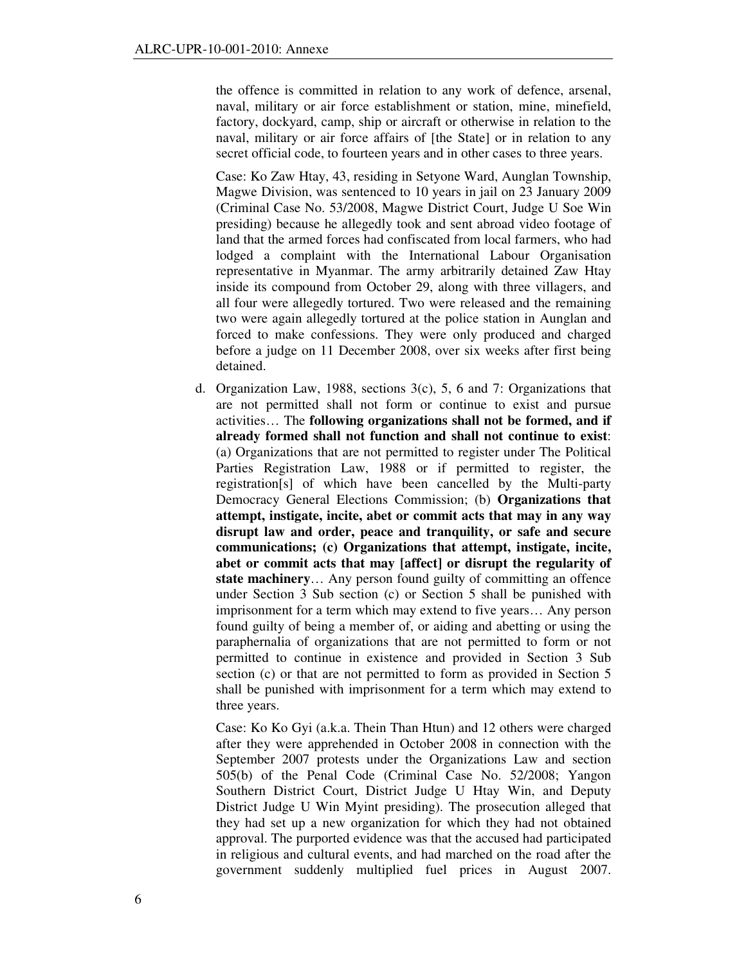the offence is committed in relation to any work of defence, arsenal, naval, military or air force establishment or station, mine, minefield, factory, dockyard, camp, ship or aircraft or otherwise in relation to the naval, military or air force affairs of [the State] or in relation to any secret official code, to fourteen years and in other cases to three years.

Case: Ko Zaw Htay, 43, residing in Setyone Ward, Aunglan Township, Magwe Division, was sentenced to 10 years in jail on 23 January 2009 (Criminal Case No. 53/2008, Magwe District Court, Judge U Soe Win presiding) because he allegedly took and sent abroad video footage of land that the armed forces had confiscated from local farmers, who had lodged a complaint with the International Labour Organisation representative in Myanmar. The army arbitrarily detained Zaw Htay inside its compound from October 29, along with three villagers, and all four were allegedly tortured. Two were released and the remaining two were again allegedly tortured at the police station in Aunglan and forced to make confessions. They were only produced and charged before a judge on 11 December 2008, over six weeks after first being detained.

d. Organization Law, 1988, sections 3(c), 5, 6 and 7: Organizations that are not permitted shall not form or continue to exist and pursue activities… The **following organizations shall not be formed, and if already formed shall not function and shall not continue to exist**: (a) Organizations that are not permitted to register under The Political Parties Registration Law, 1988 or if permitted to register, the registration[s] of which have been cancelled by the Multi-party Democracy General Elections Commission; (b) **Organizations that attempt, instigate, incite, abet or commit acts that may in any way disrupt law and order, peace and tranquility, or safe and secure communications; (c) Organizations that attempt, instigate, incite, abet or commit acts that may [affect] or disrupt the regularity of state machinery**… Any person found guilty of committing an offence under Section 3 Sub section (c) or Section 5 shall be punished with imprisonment for a term which may extend to five years… Any person found guilty of being a member of, or aiding and abetting or using the paraphernalia of organizations that are not permitted to form or not permitted to continue in existence and provided in Section 3 Sub section (c) or that are not permitted to form as provided in Section 5 shall be punished with imprisonment for a term which may extend to three years.

Case: Ko Ko Gyi (a.k.a. Thein Than Htun) and 12 others were charged after they were apprehended in October 2008 in connection with the September 2007 protests under the Organizations Law and section 505(b) of the Penal Code (Criminal Case No. 52/2008; Yangon Southern District Court, District Judge U Htay Win, and Deputy District Judge U Win Myint presiding). The prosecution alleged that they had set up a new organization for which they had not obtained approval. The purported evidence was that the accused had participated in religious and cultural events, and had marched on the road after the government suddenly multiplied fuel prices in August 2007.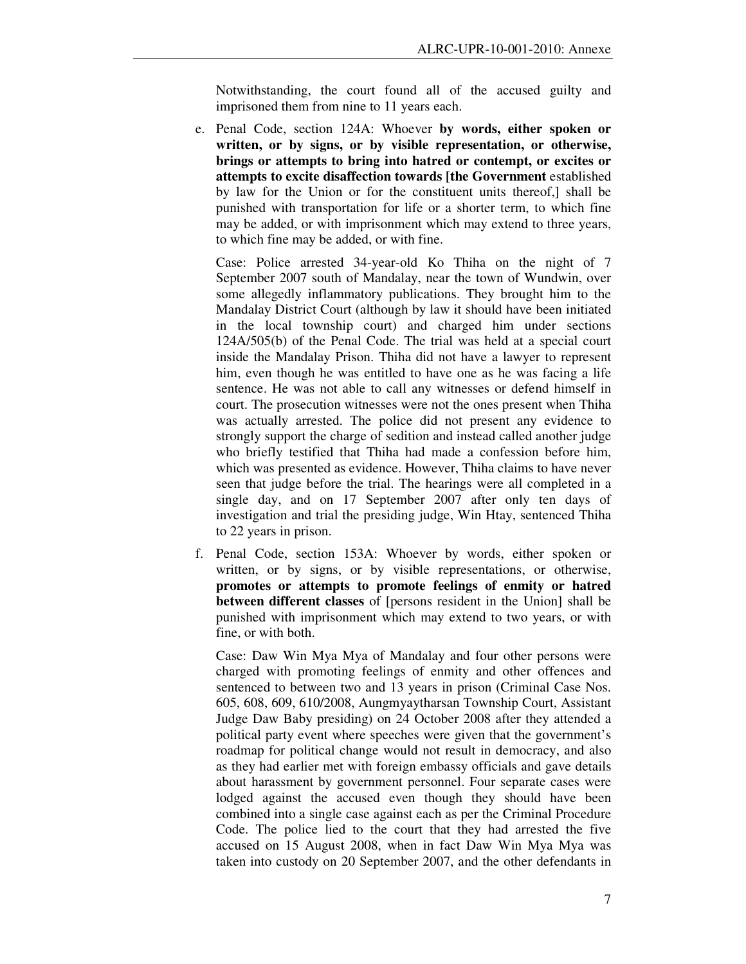Notwithstanding, the court found all of the accused guilty and imprisoned them from nine to 11 years each.

e. Penal Code, section 124A: Whoever **by words, either spoken or written, or by signs, or by visible representation, or otherwise, brings or attempts to bring into hatred or contempt, or excites or attempts to excite disaffection towards [the Government** established by law for the Union or for the constituent units thereof,] shall be punished with transportation for life or a shorter term, to which fine may be added, or with imprisonment which may extend to three years, to which fine may be added, or with fine.

Case: Police arrested 34-year-old Ko Thiha on the night of 7 September 2007 south of Mandalay, near the town of Wundwin, over some allegedly inflammatory publications. They brought him to the Mandalay District Court (although by law it should have been initiated in the local township court) and charged him under sections 124A/505(b) of the Penal Code. The trial was held at a special court inside the Mandalay Prison. Thiha did not have a lawyer to represent him, even though he was entitled to have one as he was facing a life sentence. He was not able to call any witnesses or defend himself in court. The prosecution witnesses were not the ones present when Thiha was actually arrested. The police did not present any evidence to strongly support the charge of sedition and instead called another judge who briefly testified that Thiha had made a confession before him, which was presented as evidence. However, Thiha claims to have never seen that judge before the trial. The hearings were all completed in a single day, and on 17 September 2007 after only ten days of investigation and trial the presiding judge, Win Htay, sentenced Thiha to 22 years in prison.

f. Penal Code, section 153A: Whoever by words, either spoken or written, or by signs, or by visible representations, or otherwise, **promotes or attempts to promote feelings of enmity or hatred between different classes** of [persons resident in the Union] shall be punished with imprisonment which may extend to two years, or with fine, or with both.

Case: Daw Win Mya Mya of Mandalay and four other persons were charged with promoting feelings of enmity and other offences and sentenced to between two and 13 years in prison (Criminal Case Nos. 605, 608, 609, 610/2008, Aungmyaytharsan Township Court, Assistant Judge Daw Baby presiding) on 24 October 2008 after they attended a political party event where speeches were given that the government's roadmap for political change would not result in democracy, and also as they had earlier met with foreign embassy officials and gave details about harassment by government personnel. Four separate cases were lodged against the accused even though they should have been combined into a single case against each as per the Criminal Procedure Code. The police lied to the court that they had arrested the five accused on 15 August 2008, when in fact Daw Win Mya Mya was taken into custody on 20 September 2007, and the other defendants in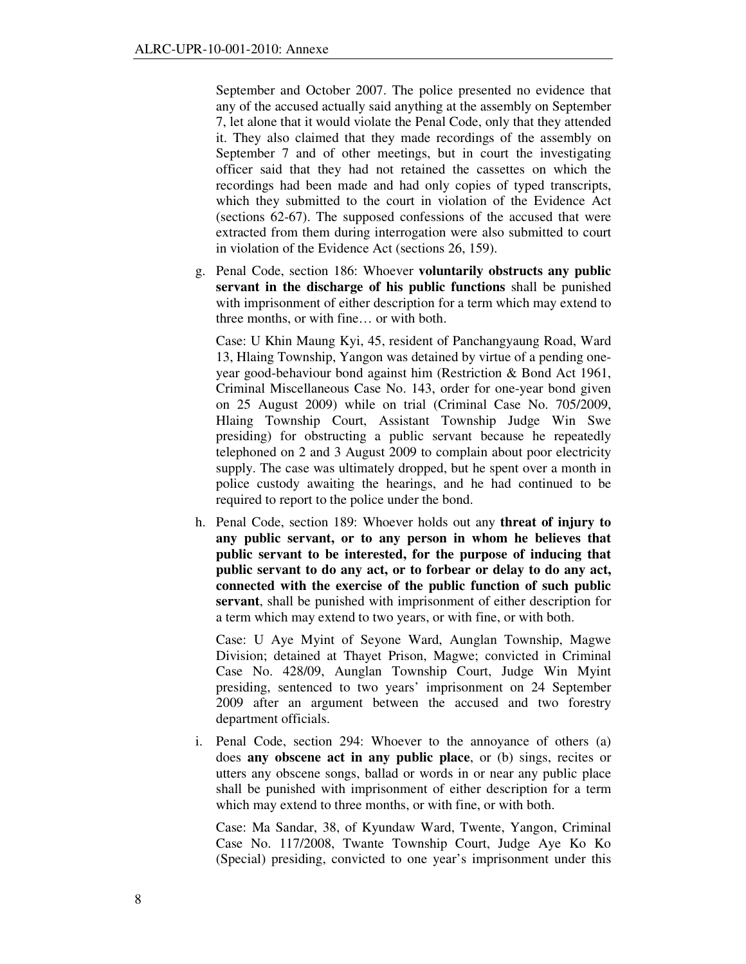September and October 2007. The police presented no evidence that any of the accused actually said anything at the assembly on September 7, let alone that it would violate the Penal Code, only that they attended it. They also claimed that they made recordings of the assembly on September 7 and of other meetings, but in court the investigating officer said that they had not retained the cassettes on which the recordings had been made and had only copies of typed transcripts, which they submitted to the court in violation of the Evidence Act (sections 62-67). The supposed confessions of the accused that were extracted from them during interrogation were also submitted to court in violation of the Evidence Act (sections 26, 159).

g. Penal Code, section 186: Whoever **voluntarily obstructs any public servant in the discharge of his public functions** shall be punished with imprisonment of either description for a term which may extend to three months, or with fine… or with both.

Case: U Khin Maung Kyi, 45, resident of Panchangyaung Road, Ward 13, Hlaing Township, Yangon was detained by virtue of a pending oneyear good-behaviour bond against him (Restriction & Bond Act 1961, Criminal Miscellaneous Case No. 143, order for one-year bond given on 25 August 2009) while on trial (Criminal Case No. 705/2009, Hlaing Township Court, Assistant Township Judge Win Swe presiding) for obstructing a public servant because he repeatedly telephoned on 2 and 3 August 2009 to complain about poor electricity supply. The case was ultimately dropped, but he spent over a month in police custody awaiting the hearings, and he had continued to be required to report to the police under the bond.

h. Penal Code, section 189: Whoever holds out any **threat of injury to any public servant, or to any person in whom he believes that public servant to be interested, for the purpose of inducing that public servant to do any act, or to forbear or delay to do any act, connected with the exercise of the public function of such public servant**, shall be punished with imprisonment of either description for a term which may extend to two years, or with fine, or with both.

Case: U Aye Myint of Seyone Ward, Aunglan Township, Magwe Division; detained at Thayet Prison, Magwe; convicted in Criminal Case No. 428/09, Aunglan Township Court, Judge Win Myint presiding, sentenced to two years' imprisonment on 24 September 2009 after an argument between the accused and two forestry department officials.

i. Penal Code, section 294: Whoever to the annoyance of others (a) does **any obscene act in any public place**, or (b) sings, recites or utters any obscene songs, ballad or words in or near any public place shall be punished with imprisonment of either description for a term which may extend to three months, or with fine, or with both.

Case: Ma Sandar, 38, of Kyundaw Ward, Twente, Yangon, Criminal Case No. 117/2008, Twante Township Court, Judge Aye Ko Ko (Special) presiding, convicted to one year's imprisonment under this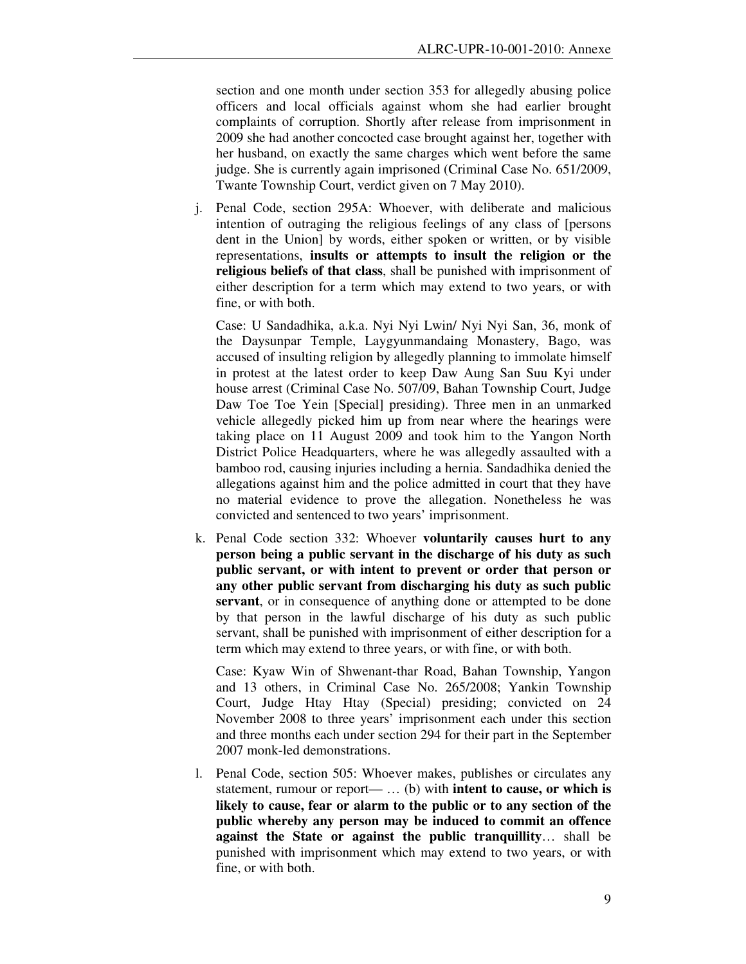section and one month under section 353 for allegedly abusing police officers and local officials against whom she had earlier brought complaints of corruption. Shortly after release from imprisonment in 2009 she had another concocted case brought against her, together with her husband, on exactly the same charges which went before the same judge. She is currently again imprisoned (Criminal Case No. 651/2009, Twante Township Court, verdict given on 7 May 2010).

j. Penal Code, section 295A: Whoever, with deliberate and malicious intention of outraging the religious feelings of any class of [persons dent in the Union] by words, either spoken or written, or by visible representations, **insults or attempts to insult the religion or the religious beliefs of that class**, shall be punished with imprisonment of either description for a term which may extend to two years, or with fine, or with both.

Case: U Sandadhika, a.k.a. Nyi Nyi Lwin/ Nyi Nyi San, 36, monk of the Daysunpar Temple, Laygyunmandaing Monastery, Bago, was accused of insulting religion by allegedly planning to immolate himself in protest at the latest order to keep Daw Aung San Suu Kyi under house arrest (Criminal Case No. 507/09, Bahan Township Court, Judge Daw Toe Toe Yein [Special] presiding). Three men in an unmarked vehicle allegedly picked him up from near where the hearings were taking place on 11 August 2009 and took him to the Yangon North District Police Headquarters, where he was allegedly assaulted with a bamboo rod, causing injuries including a hernia. Sandadhika denied the allegations against him and the police admitted in court that they have no material evidence to prove the allegation. Nonetheless he was convicted and sentenced to two years' imprisonment.

k. Penal Code section 332: Whoever **voluntarily causes hurt to any person being a public servant in the discharge of his duty as such public servant, or with intent to prevent or order that person or any other public servant from discharging his duty as such public servant**, or in consequence of anything done or attempted to be done by that person in the lawful discharge of his duty as such public servant, shall be punished with imprisonment of either description for a term which may extend to three years, or with fine, or with both.

Case: Kyaw Win of Shwenant-thar Road, Bahan Township, Yangon and 13 others, in Criminal Case No. 265/2008; Yankin Township Court, Judge Htay Htay (Special) presiding; convicted on 24 November 2008 to three years' imprisonment each under this section and three months each under section 294 for their part in the September 2007 monk-led demonstrations.

l. Penal Code, section 505: Whoever makes, publishes or circulates any statement, rumour or report— … (b) with **intent to cause, or which is likely to cause, fear or alarm to the public or to any section of the public whereby any person may be induced to commit an offence against the State or against the public tranquillity**… shall be punished with imprisonment which may extend to two years, or with fine, or with both.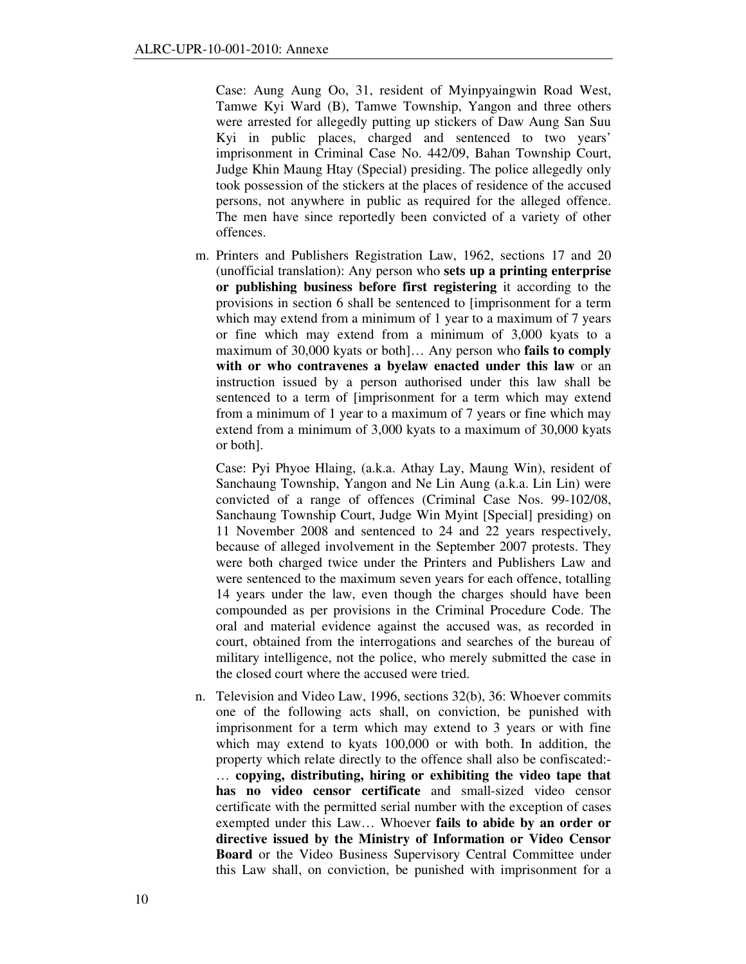Case: Aung Aung Oo, 31, resident of Myinpyaingwin Road West, Tamwe Kyi Ward (B), Tamwe Township, Yangon and three others were arrested for allegedly putting up stickers of Daw Aung San Suu Kyi in public places, charged and sentenced to two years' imprisonment in Criminal Case No. 442/09, Bahan Township Court, Judge Khin Maung Htay (Special) presiding. The police allegedly only took possession of the stickers at the places of residence of the accused persons, not anywhere in public as required for the alleged offence. The men have since reportedly been convicted of a variety of other offences.

m. Printers and Publishers Registration Law, 1962, sections 17 and 20 (unofficial translation): Any person who **sets up a printing enterprise or publishing business before first registering** it according to the provisions in section 6 shall be sentenced to [imprisonment for a term which may extend from a minimum of 1 year to a maximum of 7 years or fine which may extend from a minimum of 3,000 kyats to a maximum of 30,000 kyats or both]… Any person who **fails to comply with or who contravenes a byelaw enacted under this law** or an instruction issued by a person authorised under this law shall be sentenced to a term of [imprisonment for a term which may extend from a minimum of 1 year to a maximum of 7 years or fine which may extend from a minimum of 3,000 kyats to a maximum of 30,000 kyats or both].

Case: Pyi Phyoe Hlaing, (a.k.a. Athay Lay, Maung Win), resident of Sanchaung Township, Yangon and Ne Lin Aung (a.k.a. Lin Lin) were convicted of a range of offences (Criminal Case Nos. 99-102/08, Sanchaung Township Court, Judge Win Myint [Special] presiding) on 11 November 2008 and sentenced to 24 and 22 years respectively, because of alleged involvement in the September 2007 protests. They were both charged twice under the Printers and Publishers Law and were sentenced to the maximum seven years for each offence, totalling 14 years under the law, even though the charges should have been compounded as per provisions in the Criminal Procedure Code. The oral and material evidence against the accused was, as recorded in court, obtained from the interrogations and searches of the bureau of military intelligence, not the police, who merely submitted the case in the closed court where the accused were tried.

n. Television and Video Law, 1996, sections 32(b), 36: Whoever commits one of the following acts shall, on conviction, be punished with imprisonment for a term which may extend to 3 years or with fine which may extend to kyats 100,000 or with both. In addition, the property which relate directly to the offence shall also be confiscated:- … **copying, distributing, hiring or exhibiting the video tape that has no video censor certificate** and small-sized video censor certificate with the permitted serial number with the exception of cases exempted under this Law… Whoever **fails to abide by an order or directive issued by the Ministry of Information or Video Censor Board** or the Video Business Supervisory Central Committee under this Law shall, on conviction, be punished with imprisonment for a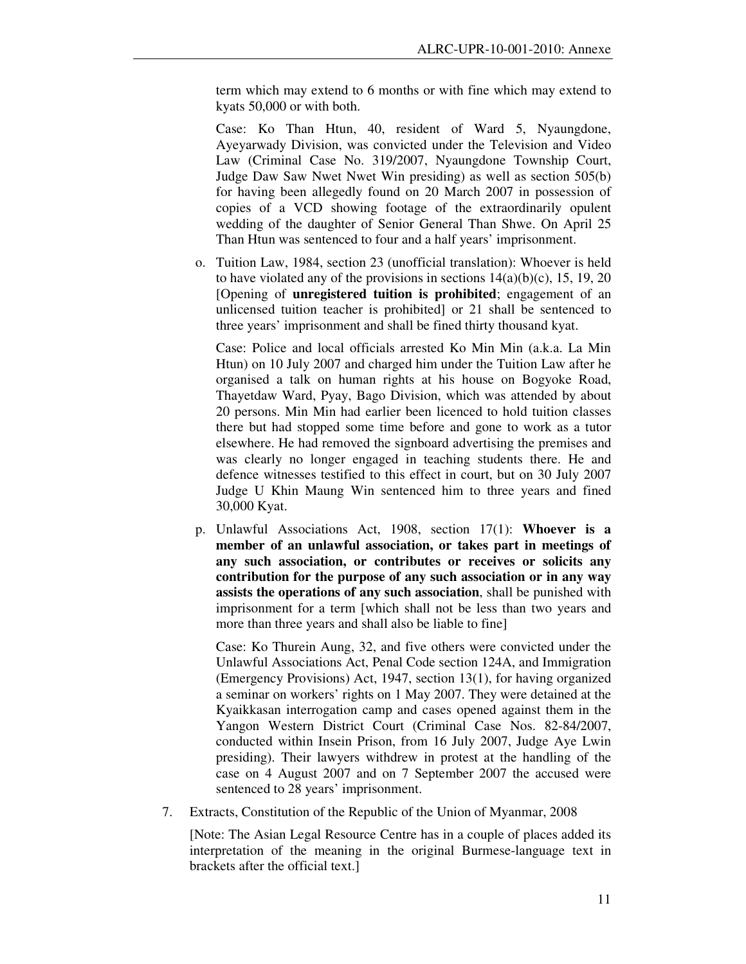term which may extend to 6 months or with fine which may extend to kyats 50,000 or with both.

Case: Ko Than Htun, 40, resident of Ward 5, Nyaungdone, Ayeyarwady Division, was convicted under the Television and Video Law (Criminal Case No. 319/2007, Nyaungdone Township Court, Judge Daw Saw Nwet Nwet Win presiding) as well as section 505(b) for having been allegedly found on 20 March 2007 in possession of copies of a VCD showing footage of the extraordinarily opulent wedding of the daughter of Senior General Than Shwe. On April 25 Than Htun was sentenced to four and a half years' imprisonment.

o. Tuition Law, 1984, section 23 (unofficial translation): Whoever is held to have violated any of the provisions in sections  $14(a)(b)(c)$ , 15, 19, 20 [Opening of **unregistered tuition is prohibited**; engagement of an unlicensed tuition teacher is prohibited] or 21 shall be sentenced to three years' imprisonment and shall be fined thirty thousand kyat.

Case: Police and local officials arrested Ko Min Min (a.k.a. La Min Htun) on 10 July 2007 and charged him under the Tuition Law after he organised a talk on human rights at his house on Bogyoke Road, Thayetdaw Ward, Pyay, Bago Division, which was attended by about 20 persons. Min Min had earlier been licenced to hold tuition classes there but had stopped some time before and gone to work as a tutor elsewhere. He had removed the signboard advertising the premises and was clearly no longer engaged in teaching students there. He and defence witnesses testified to this effect in court, but on 30 July 2007 Judge U Khin Maung Win sentenced him to three years and fined 30,000 Kyat.

p. Unlawful Associations Act, 1908, section 17(1): **Whoever is a member of an unlawful association, or takes part in meetings of any such association, or contributes or receives or solicits any contribution for the purpose of any such association or in any way assists the operations of any such association**, shall be punished with imprisonment for a term [which shall not be less than two years and more than three years and shall also be liable to fine]

Case: Ko Thurein Aung, 32, and five others were convicted under the Unlawful Associations Act, Penal Code section 124A, and Immigration (Emergency Provisions) Act, 1947, section 13(1), for having organized a seminar on workers' rights on 1 May 2007. They were detained at the Kyaikkasan interrogation camp and cases opened against them in the Yangon Western District Court (Criminal Case Nos. 82-84/2007, conducted within Insein Prison, from 16 July 2007, Judge Aye Lwin presiding). Their lawyers withdrew in protest at the handling of the case on 4 August 2007 and on 7 September 2007 the accused were sentenced to 28 years' imprisonment.

7. Extracts, Constitution of the Republic of the Union of Myanmar, 2008

[Note: The Asian Legal Resource Centre has in a couple of places added its interpretation of the meaning in the original Burmese-language text in brackets after the official text.]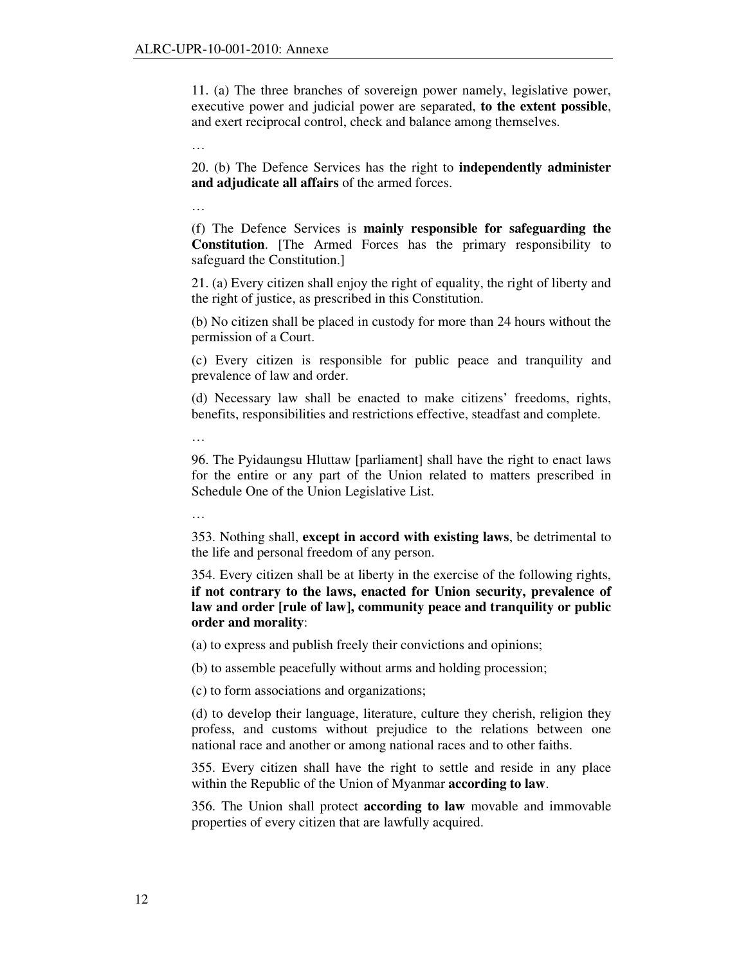11. (a) The three branches of sovereign power namely, legislative power, executive power and judicial power are separated, **to the extent possible**, and exert reciprocal control, check and balance among themselves.

…

20. (b) The Defence Services has the right to **independently administer and adjudicate all affairs** of the armed forces.

…

(f) The Defence Services is **mainly responsible for safeguarding the Constitution**. [The Armed Forces has the primary responsibility to safeguard the Constitution.]

21. (a) Every citizen shall enjoy the right of equality, the right of liberty and the right of justice, as prescribed in this Constitution.

(b) No citizen shall be placed in custody for more than 24 hours without the permission of a Court.

(c) Every citizen is responsible for public peace and tranquility and prevalence of law and order.

(d) Necessary law shall be enacted to make citizens' freedoms, rights, benefits, responsibilities and restrictions effective, steadfast and complete.

96. The Pyidaungsu Hluttaw [parliament] shall have the right to enact laws for the entire or any part of the Union related to matters prescribed in Schedule One of the Union Legislative List.

…

…

353. Nothing shall, **except in accord with existing laws**, be detrimental to the life and personal freedom of any person.

354. Every citizen shall be at liberty in the exercise of the following rights, **if not contrary to the laws, enacted for Union security, prevalence of law and order [rule of law], community peace and tranquility or public order and morality**:

(a) to express and publish freely their convictions and opinions;

(b) to assemble peacefully without arms and holding procession;

(c) to form associations and organizations;

(d) to develop their language, literature, culture they cherish, religion they profess, and customs without prejudice to the relations between one national race and another or among national races and to other faiths.

355. Every citizen shall have the right to settle and reside in any place within the Republic of the Union of Myanmar **according to law**.

356. The Union shall protect **according to law** movable and immovable properties of every citizen that are lawfully acquired.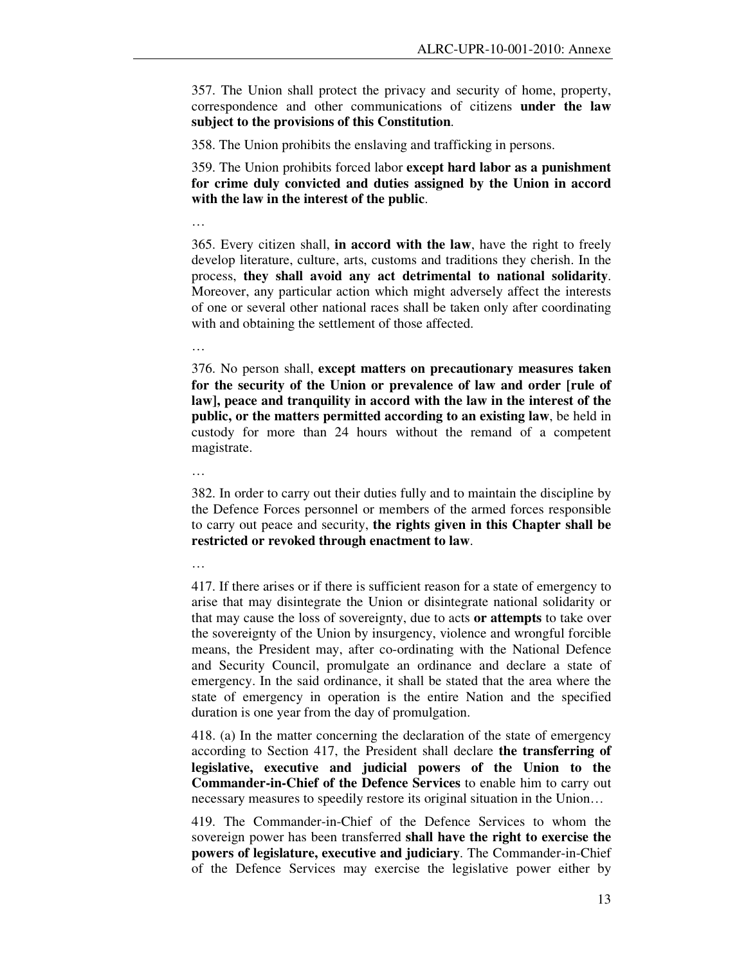357. The Union shall protect the privacy and security of home, property, correspondence and other communications of citizens **under the law subject to the provisions of this Constitution**.

358. The Union prohibits the enslaving and trafficking in persons.

359. The Union prohibits forced labor **except hard labor as a punishment for crime duly convicted and duties assigned by the Union in accord with the law in the interest of the public**.

…

365. Every citizen shall, **in accord with the law**, have the right to freely develop literature, culture, arts, customs and traditions they cherish. In the process, **they shall avoid any act detrimental to national solidarity**. Moreover, any particular action which might adversely affect the interests of one or several other national races shall be taken only after coordinating with and obtaining the settlement of those affected.

…

376. No person shall, **except matters on precautionary measures taken for the security of the Union or prevalence of law and order [rule of law], peace and tranquility in accord with the law in the interest of the public, or the matters permitted according to an existing law**, be held in custody for more than 24 hours without the remand of a competent magistrate.

…

382. In order to carry out their duties fully and to maintain the discipline by the Defence Forces personnel or members of the armed forces responsible to carry out peace and security, **the rights given in this Chapter shall be restricted or revoked through enactment to law**.

…

417. If there arises or if there is sufficient reason for a state of emergency to arise that may disintegrate the Union or disintegrate national solidarity or that may cause the loss of sovereignty, due to acts **or attempts** to take over the sovereignty of the Union by insurgency, violence and wrongful forcible means, the President may, after co-ordinating with the National Defence and Security Council, promulgate an ordinance and declare a state of emergency. In the said ordinance, it shall be stated that the area where the state of emergency in operation is the entire Nation and the specified duration is one year from the day of promulgation.

418. (a) In the matter concerning the declaration of the state of emergency according to Section 417, the President shall declare **the transferring of legislative, executive and judicial powers of the Union to the Commander-in-Chief of the Defence Services** to enable him to carry out necessary measures to speedily restore its original situation in the Union…

419. The Commander-in-Chief of the Defence Services to whom the sovereign power has been transferred **shall have the right to exercise the powers of legislature, executive and judiciary**. The Commander-in-Chief of the Defence Services may exercise the legislative power either by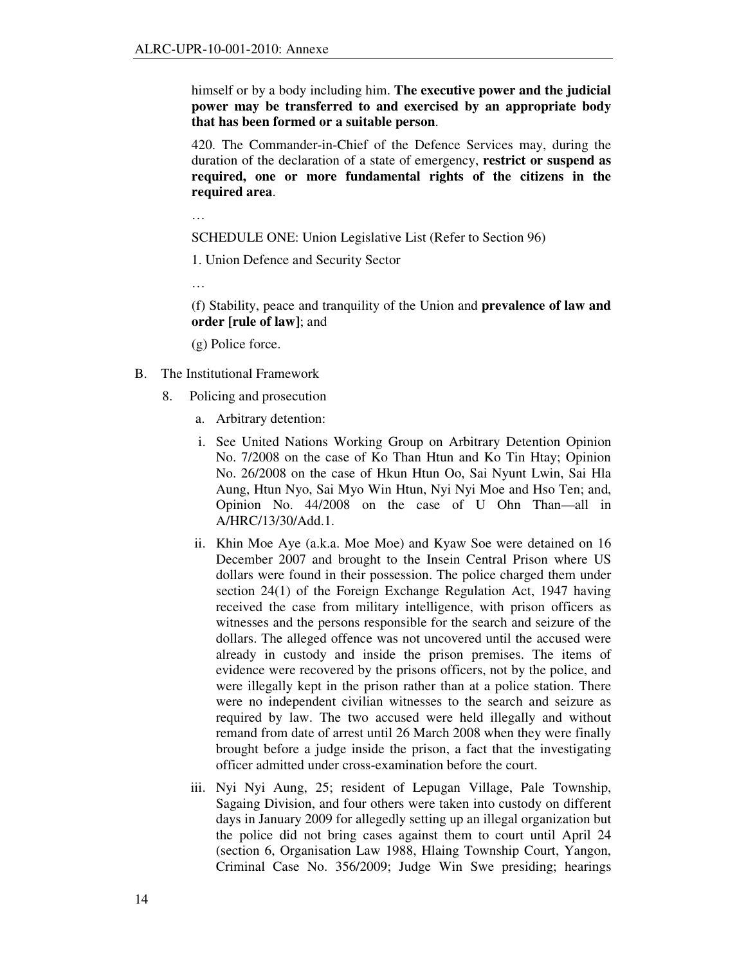himself or by a body including him. **The executive power and the judicial power may be transferred to and exercised by an appropriate body that has been formed or a suitable person**.

420. The Commander-in-Chief of the Defence Services may, during the duration of the declaration of a state of emergency, **restrict or suspend as required, one or more fundamental rights of the citizens in the required area**.

…

SCHEDULE ONE: Union Legislative List (Refer to Section 96)

1. Union Defence and Security Sector

…

(f) Stability, peace and tranquility of the Union and **prevalence of law and order [rule of law]**; and

(g) Police force.

- B. The Institutional Framework
	- 8. Policing and prosecution
		- a. Arbitrary detention:
		- i. See United Nations Working Group on Arbitrary Detention Opinion No. 7/2008 on the case of Ko Than Htun and Ko Tin Htay; Opinion No. 26/2008 on the case of Hkun Htun Oo, Sai Nyunt Lwin, Sai Hla Aung, Htun Nyo, Sai Myo Win Htun, Nyi Nyi Moe and Hso Ten; and, Opinion No. 44/2008 on the case of U Ohn Than—all in A/HRC/13/30/Add.1.
		- ii. Khin Moe Aye (a.k.a. Moe Moe) and Kyaw Soe were detained on 16 December 2007 and brought to the Insein Central Prison where US dollars were found in their possession. The police charged them under section 24(1) of the Foreign Exchange Regulation Act, 1947 having received the case from military intelligence, with prison officers as witnesses and the persons responsible for the search and seizure of the dollars. The alleged offence was not uncovered until the accused were already in custody and inside the prison premises. The items of evidence were recovered by the prisons officers, not by the police, and were illegally kept in the prison rather than at a police station. There were no independent civilian witnesses to the search and seizure as required by law. The two accused were held illegally and without remand from date of arrest until 26 March 2008 when they were finally brought before a judge inside the prison, a fact that the investigating officer admitted under cross-examination before the court.
		- iii. Nyi Nyi Aung, 25; resident of Lepugan Village, Pale Township, Sagaing Division, and four others were taken into custody on different days in January 2009 for allegedly setting up an illegal organization but the police did not bring cases against them to court until April 24 (section 6, Organisation Law 1988, Hlaing Township Court, Yangon, Criminal Case No. 356/2009; Judge Win Swe presiding; hearings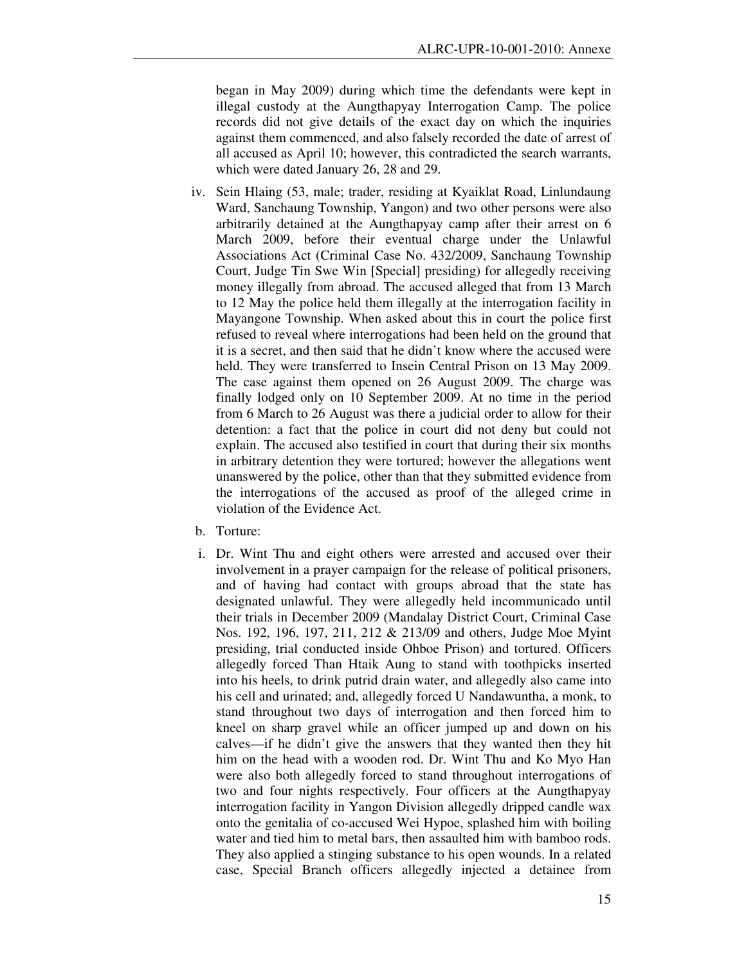began in May 2009) during which time the defendants were kept in illegal custody at the Aungthapyay Interrogation Camp. The police records did not give details of the exact day on which the inquiries against them commenced, and also falsely recorded the date of arrest of all accused as April 10; however, this contradicted the search warrants, which were dated January 26, 28 and 29.

- iv. Sein Hlaing (53, male; trader, residing at Kyaiklat Road, Linlundaung Ward, Sanchaung Township, Yangon) and two other persons were also arbitrarily detained at the Aungthapyay camp after their arrest on 6 March 2009, before their eventual charge under the Unlawful Associations Act (Criminal Case No. 432/2009, Sanchaung Township Court, Judge Tin Swe Win [Special] presiding) for allegedly receiving money illegally from abroad. The accused alleged that from 13 March to 12 May the police held them illegally at the interrogation facility in Mayangone Township. When asked about this in court the police first refused to reveal where interrogations had been held on the ground that it is a secret, and then said that he didn't know where the accused were held. They were transferred to Insein Central Prison on 13 May 2009. The case against them opened on 26 August 2009. The charge was finally lodged only on 10 September 2009. At no time in the period from 6 March to 26 August was there a judicial order to allow for their detention: a fact that the police in court did not deny but could not explain. The accused also testified in court that during their six months in arbitrary detention they were tortured; however the allegations went unanswered by the police, other than that they submitted evidence from the interrogations of the accused as proof of the alleged crime in violation of the Evidence Act.
- b. Torture:
- i. Dr. Wint Thu and eight others were arrested and accused over their involvement in a prayer campaign for the release of political prisoners, and of having had contact with groups abroad that the state has designated unlawful. They were allegedly held incommunicado until their trials in December 2009 (Mandalay District Court, Criminal Case Nos. 192, 196, 197, 211, 212 & 213/09 and others, Judge Moe Myint presiding, trial conducted inside Ohboe Prison) and tortured. Officers allegedly forced Than Htaik Aung to stand with toothpicks inserted into his heels, to drink putrid drain water, and allegedly also came into his cell and urinated; and, allegedly forced U Nandawuntha, a monk, to stand throughout two days of interrogation and then forced him to kneel on sharp gravel while an officer jumped up and down on his calves—if he didn't give the answers that they wanted then they hit him on the head with a wooden rod. Dr. Wint Thu and Ko Myo Han were also both allegedly forced to stand throughout interrogations of two and four nights respectively. Four officers at the Aungthapyay interrogation facility in Yangon Division allegedly dripped candle wax onto the genitalia of co-accused Wei Hypoe, splashed him with boiling water and tied him to metal bars, then assaulted him with bamboo rods. They also applied a stinging substance to his open wounds. In a related case, Special Branch officers allegedly injected a detainee from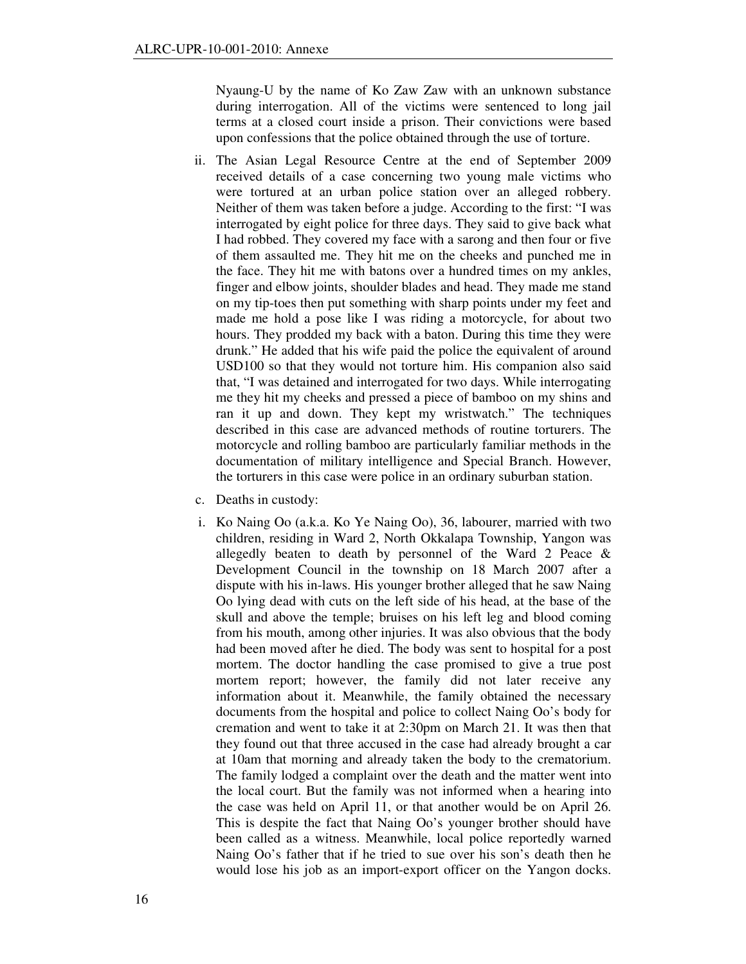Nyaung-U by the name of Ko Zaw Zaw with an unknown substance during interrogation. All of the victims were sentenced to long jail terms at a closed court inside a prison. Their convictions were based upon confessions that the police obtained through the use of torture.

- ii. The Asian Legal Resource Centre at the end of September 2009 received details of a case concerning two young male victims who were tortured at an urban police station over an alleged robbery. Neither of them was taken before a judge. According to the first: "I was interrogated by eight police for three days. They said to give back what I had robbed. They covered my face with a sarong and then four or five of them assaulted me. They hit me on the cheeks and punched me in the face. They hit me with batons over a hundred times on my ankles, finger and elbow joints, shoulder blades and head. They made me stand on my tip-toes then put something with sharp points under my feet and made me hold a pose like I was riding a motorcycle, for about two hours. They prodded my back with a baton. During this time they were drunk." He added that his wife paid the police the equivalent of around USD100 so that they would not torture him. His companion also said that, "I was detained and interrogated for two days. While interrogating me they hit my cheeks and pressed a piece of bamboo on my shins and ran it up and down. They kept my wristwatch." The techniques described in this case are advanced methods of routine torturers. The motorcycle and rolling bamboo are particularly familiar methods in the documentation of military intelligence and Special Branch. However, the torturers in this case were police in an ordinary suburban station.
- c. Deaths in custody:
- i. Ko Naing Oo (a.k.a. Ko Ye Naing Oo), 36, labourer, married with two children, residing in Ward 2, North Okkalapa Township, Yangon was allegedly beaten to death by personnel of the Ward 2 Peace & Development Council in the township on 18 March 2007 after a dispute with his in-laws. His younger brother alleged that he saw Naing Oo lying dead with cuts on the left side of his head, at the base of the skull and above the temple; bruises on his left leg and blood coming from his mouth, among other injuries. It was also obvious that the body had been moved after he died. The body was sent to hospital for a post mortem. The doctor handling the case promised to give a true post mortem report; however, the family did not later receive any information about it. Meanwhile, the family obtained the necessary documents from the hospital and police to collect Naing Oo's body for cremation and went to take it at 2:30pm on March 21. It was then that they found out that three accused in the case had already brought a car at 10am that morning and already taken the body to the crematorium. The family lodged a complaint over the death and the matter went into the local court. But the family was not informed when a hearing into the case was held on April 11, or that another would be on April 26. This is despite the fact that Naing Oo's younger brother should have been called as a witness. Meanwhile, local police reportedly warned Naing Oo's father that if he tried to sue over his son's death then he would lose his job as an import-export officer on the Yangon docks.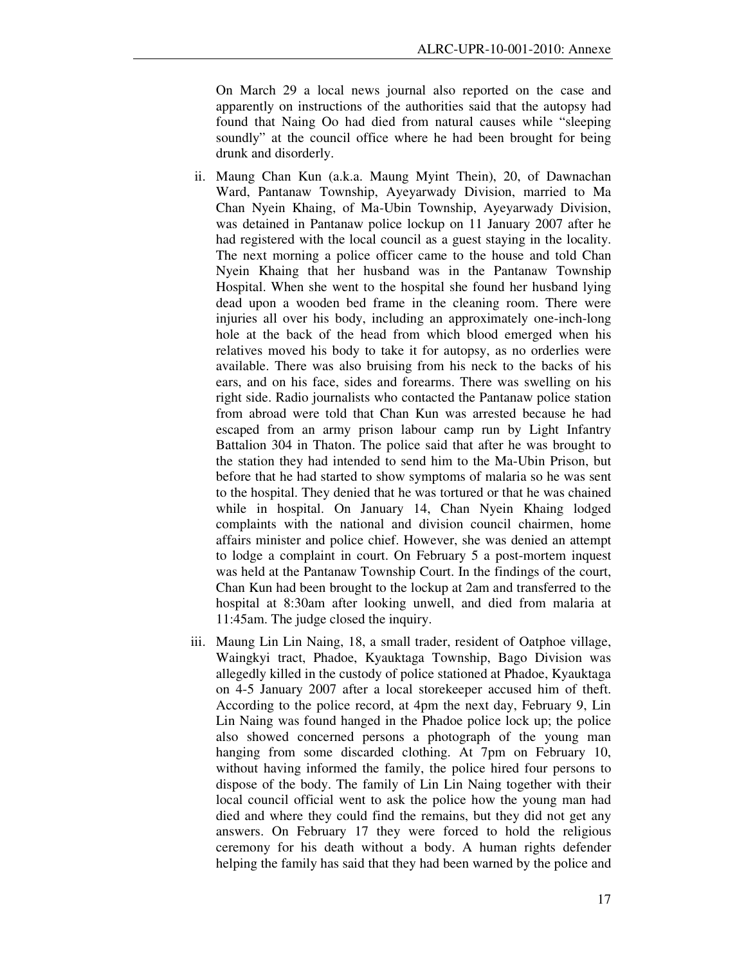On March 29 a local news journal also reported on the case and apparently on instructions of the authorities said that the autopsy had found that Naing Oo had died from natural causes while "sleeping soundly" at the council office where he had been brought for being drunk and disorderly.

- ii. Maung Chan Kun (a.k.a. Maung Myint Thein), 20, of Dawnachan Ward, Pantanaw Township, Ayeyarwady Division, married to Ma Chan Nyein Khaing, of Ma-Ubin Township, Ayeyarwady Division, was detained in Pantanaw police lockup on 11 January 2007 after he had registered with the local council as a guest staying in the locality. The next morning a police officer came to the house and told Chan Nyein Khaing that her husband was in the Pantanaw Township Hospital. When she went to the hospital she found her husband lying dead upon a wooden bed frame in the cleaning room. There were injuries all over his body, including an approximately one-inch-long hole at the back of the head from which blood emerged when his relatives moved his body to take it for autopsy, as no orderlies were available. There was also bruising from his neck to the backs of his ears, and on his face, sides and forearms. There was swelling on his right side. Radio journalists who contacted the Pantanaw police station from abroad were told that Chan Kun was arrested because he had escaped from an army prison labour camp run by Light Infantry Battalion 304 in Thaton. The police said that after he was brought to the station they had intended to send him to the Ma-Ubin Prison, but before that he had started to show symptoms of malaria so he was sent to the hospital. They denied that he was tortured or that he was chained while in hospital. On January 14, Chan Nyein Khaing lodged complaints with the national and division council chairmen, home affairs minister and police chief. However, she was denied an attempt to lodge a complaint in court. On February 5 a post-mortem inquest was held at the Pantanaw Township Court. In the findings of the court, Chan Kun had been brought to the lockup at 2am and transferred to the hospital at 8:30am after looking unwell, and died from malaria at 11:45am. The judge closed the inquiry.
- iii. Maung Lin Lin Naing, 18, a small trader, resident of Oatphoe village, Waingkyi tract, Phadoe, Kyauktaga Township, Bago Division was allegedly killed in the custody of police stationed at Phadoe, Kyauktaga on 4-5 January 2007 after a local storekeeper accused him of theft. According to the police record, at 4pm the next day, February 9, Lin Lin Naing was found hanged in the Phadoe police lock up; the police also showed concerned persons a photograph of the young man hanging from some discarded clothing. At 7pm on February 10, without having informed the family, the police hired four persons to dispose of the body. The family of Lin Lin Naing together with their local council official went to ask the police how the young man had died and where they could find the remains, but they did not get any answers. On February 17 they were forced to hold the religious ceremony for his death without a body. A human rights defender helping the family has said that they had been warned by the police and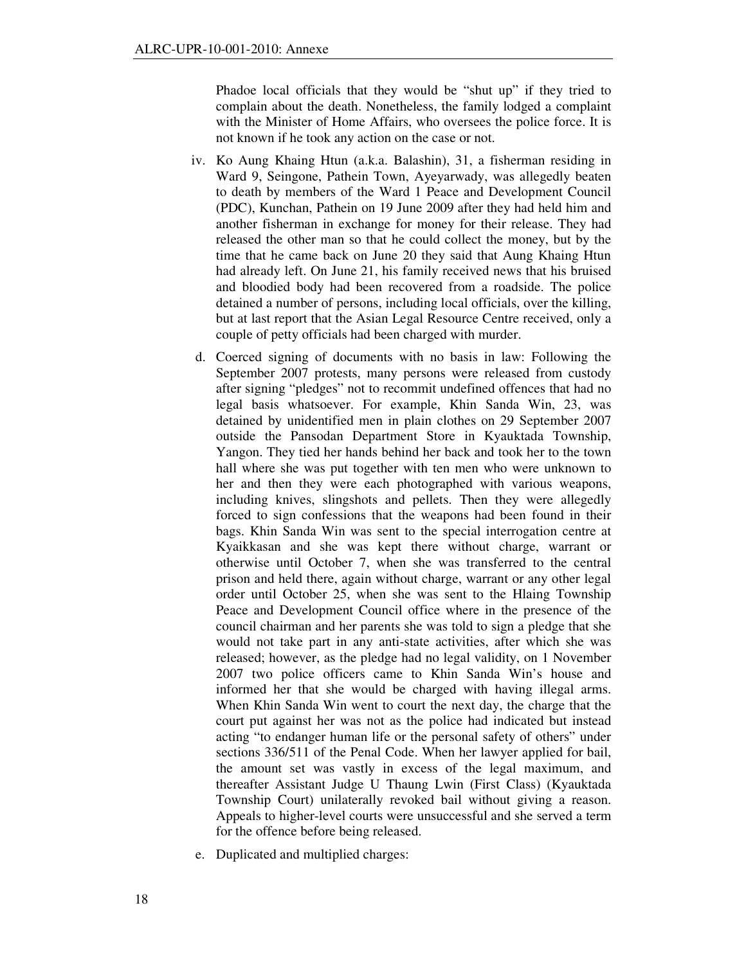Phadoe local officials that they would be "shut up" if they tried to complain about the death. Nonetheless, the family lodged a complaint with the Minister of Home Affairs, who oversees the police force. It is not known if he took any action on the case or not.

- iv. Ko Aung Khaing Htun (a.k.a. Balashin), 31, a fisherman residing in Ward 9, Seingone, Pathein Town, Ayeyarwady, was allegedly beaten to death by members of the Ward 1 Peace and Development Council (PDC), Kunchan, Pathein on 19 June 2009 after they had held him and another fisherman in exchange for money for their release. They had released the other man so that he could collect the money, but by the time that he came back on June 20 they said that Aung Khaing Htun had already left. On June 21, his family received news that his bruised and bloodied body had been recovered from a roadside. The police detained a number of persons, including local officials, over the killing, but at last report that the Asian Legal Resource Centre received, only a couple of petty officials had been charged with murder.
- d. Coerced signing of documents with no basis in law: Following the September 2007 protests, many persons were released from custody after signing "pledges" not to recommit undefined offences that had no legal basis whatsoever. For example, Khin Sanda Win, 23, was detained by unidentified men in plain clothes on 29 September 2007 outside the Pansodan Department Store in Kyauktada Township, Yangon. They tied her hands behind her back and took her to the town hall where she was put together with ten men who were unknown to her and then they were each photographed with various weapons, including knives, slingshots and pellets. Then they were allegedly forced to sign confessions that the weapons had been found in their bags. Khin Sanda Win was sent to the special interrogation centre at Kyaikkasan and she was kept there without charge, warrant or otherwise until October 7, when she was transferred to the central prison and held there, again without charge, warrant or any other legal order until October 25, when she was sent to the Hlaing Township Peace and Development Council office where in the presence of the council chairman and her parents she was told to sign a pledge that she would not take part in any anti-state activities, after which she was released; however, as the pledge had no legal validity, on 1 November 2007 two police officers came to Khin Sanda Win's house and informed her that she would be charged with having illegal arms. When Khin Sanda Win went to court the next day, the charge that the court put against her was not as the police had indicated but instead acting "to endanger human life or the personal safety of others" under sections 336/511 of the Penal Code. When her lawyer applied for bail, the amount set was vastly in excess of the legal maximum, and thereafter Assistant Judge U Thaung Lwin (First Class) (Kyauktada Township Court) unilaterally revoked bail without giving a reason. Appeals to higher-level courts were unsuccessful and she served a term for the offence before being released.
- e. Duplicated and multiplied charges: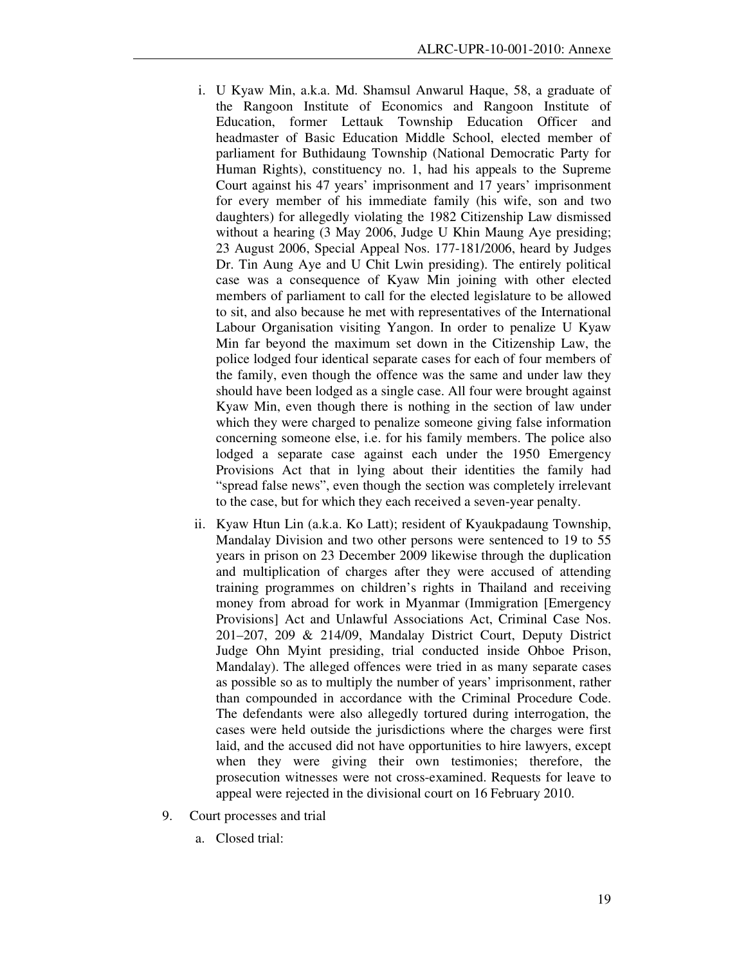- i. U Kyaw Min, a.k.a. Md. Shamsul Anwarul Haque, 58, a graduate of the Rangoon Institute of Economics and Rangoon Institute of Education, former Lettauk Township Education Officer and headmaster of Basic Education Middle School, elected member of parliament for Buthidaung Township (National Democratic Party for Human Rights), constituency no. 1, had his appeals to the Supreme Court against his 47 years' imprisonment and 17 years' imprisonment for every member of his immediate family (his wife, son and two daughters) for allegedly violating the 1982 Citizenship Law dismissed without a hearing (3 May 2006, Judge U Khin Maung Aye presiding; 23 August 2006, Special Appeal Nos. 177-181/2006, heard by Judges Dr. Tin Aung Aye and U Chit Lwin presiding). The entirely political case was a consequence of Kyaw Min joining with other elected members of parliament to call for the elected legislature to be allowed to sit, and also because he met with representatives of the International Labour Organisation visiting Yangon. In order to penalize U Kyaw Min far beyond the maximum set down in the Citizenship Law, the police lodged four identical separate cases for each of four members of the family, even though the offence was the same and under law they should have been lodged as a single case. All four were brought against Kyaw Min, even though there is nothing in the section of law under which they were charged to penalize someone giving false information concerning someone else, i.e. for his family members. The police also lodged a separate case against each under the 1950 Emergency Provisions Act that in lying about their identities the family had "spread false news", even though the section was completely irrelevant to the case, but for which they each received a seven-year penalty.
- ii. Kyaw Htun Lin (a.k.a. Ko Latt); resident of Kyaukpadaung Township, Mandalay Division and two other persons were sentenced to 19 to 55 years in prison on 23 December 2009 likewise through the duplication and multiplication of charges after they were accused of attending training programmes on children's rights in Thailand and receiving money from abroad for work in Myanmar (Immigration [Emergency Provisions] Act and Unlawful Associations Act, Criminal Case Nos. 201–207, 209 & 214/09, Mandalay District Court, Deputy District Judge Ohn Myint presiding, trial conducted inside Ohboe Prison, Mandalay). The alleged offences were tried in as many separate cases as possible so as to multiply the number of years' imprisonment, rather than compounded in accordance with the Criminal Procedure Code. The defendants were also allegedly tortured during interrogation, the cases were held outside the jurisdictions where the charges were first laid, and the accused did not have opportunities to hire lawyers, except when they were giving their own testimonies; therefore, the prosecution witnesses were not cross-examined. Requests for leave to appeal were rejected in the divisional court on 16 February 2010.
- 9. Court processes and trial
	- a. Closed trial: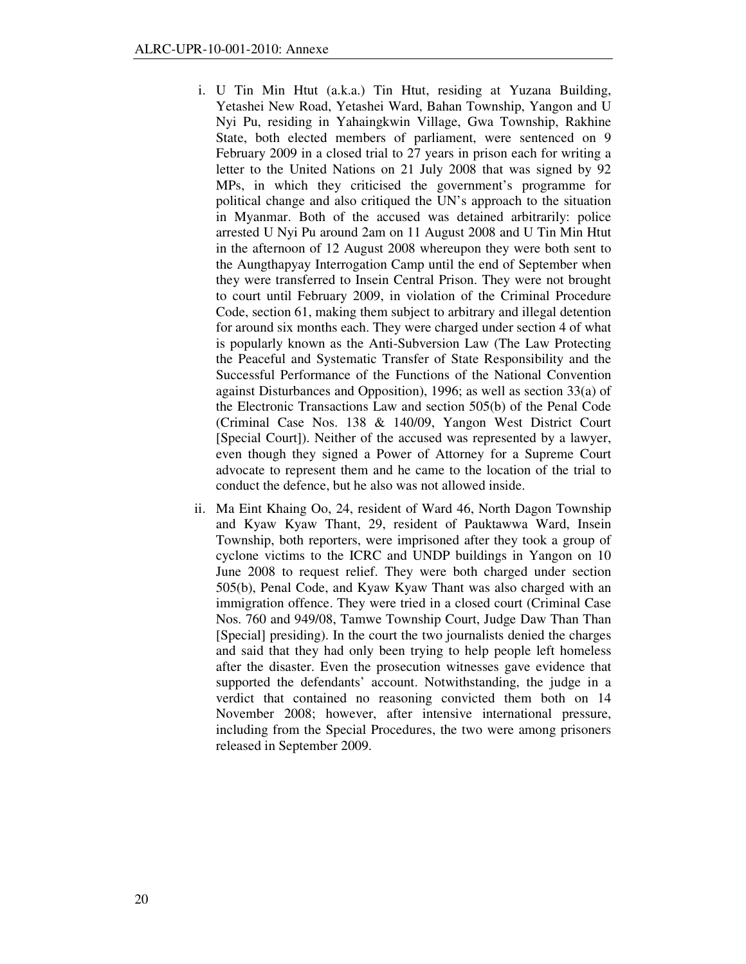- i. U Tin Min Htut (a.k.a.) Tin Htut, residing at Yuzana Building, Yetashei New Road, Yetashei Ward, Bahan Township, Yangon and U Nyi Pu, residing in Yahaingkwin Village, Gwa Township, Rakhine State, both elected members of parliament, were sentenced on 9 February 2009 in a closed trial to 27 years in prison each for writing a letter to the United Nations on 21 July 2008 that was signed by 92 MPs, in which they criticised the government's programme for political change and also critiqued the UN's approach to the situation in Myanmar. Both of the accused was detained arbitrarily: police arrested U Nyi Pu around 2am on 11 August 2008 and U Tin Min Htut in the afternoon of 12 August 2008 whereupon they were both sent to the Aungthapyay Interrogation Camp until the end of September when they were transferred to Insein Central Prison. They were not brought to court until February 2009, in violation of the Criminal Procedure Code, section 61, making them subject to arbitrary and illegal detention for around six months each. They were charged under section 4 of what is popularly known as the Anti-Subversion Law (The Law Protecting the Peaceful and Systematic Transfer of State Responsibility and the Successful Performance of the Functions of the National Convention against Disturbances and Opposition), 1996; as well as section 33(a) of the Electronic Transactions Law and section 505(b) of the Penal Code (Criminal Case Nos. 138 & 140/09, Yangon West District Court [Special Court]). Neither of the accused was represented by a lawyer, even though they signed a Power of Attorney for a Supreme Court advocate to represent them and he came to the location of the trial to conduct the defence, but he also was not allowed inside.
- ii. Ma Eint Khaing Oo, 24, resident of Ward 46, North Dagon Township and Kyaw Kyaw Thant, 29, resident of Pauktawwa Ward, Insein Township, both reporters, were imprisoned after they took a group of cyclone victims to the ICRC and UNDP buildings in Yangon on 10 June 2008 to request relief. They were both charged under section 505(b), Penal Code, and Kyaw Kyaw Thant was also charged with an immigration offence. They were tried in a closed court (Criminal Case Nos. 760 and 949/08, Tamwe Township Court, Judge Daw Than Than [Special] presiding). In the court the two journalists denied the charges and said that they had only been trying to help people left homeless after the disaster. Even the prosecution witnesses gave evidence that supported the defendants' account. Notwithstanding, the judge in a verdict that contained no reasoning convicted them both on 14 November 2008; however, after intensive international pressure, including from the Special Procedures, the two were among prisoners released in September 2009.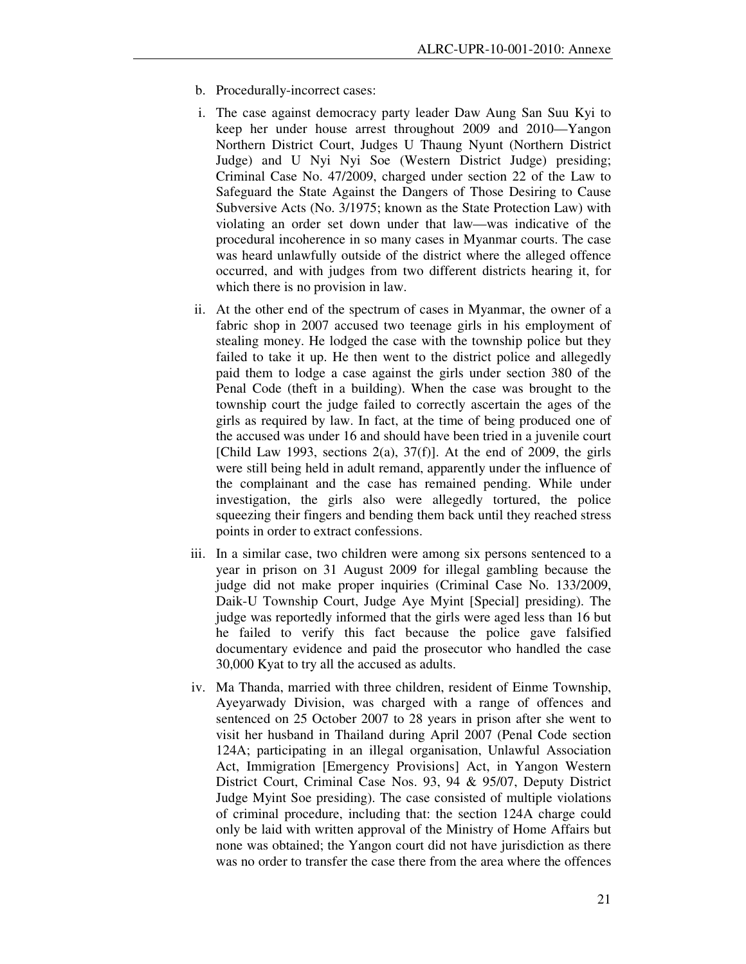- b. Procedurally-incorrect cases:
- i. The case against democracy party leader Daw Aung San Suu Kyi to keep her under house arrest throughout 2009 and 2010—Yangon Northern District Court, Judges U Thaung Nyunt (Northern District Judge) and U Nyi Nyi Soe (Western District Judge) presiding; Criminal Case No. 47/2009, charged under section 22 of the Law to Safeguard the State Against the Dangers of Those Desiring to Cause Subversive Acts (No. 3/1975; known as the State Protection Law) with violating an order set down under that law—was indicative of the procedural incoherence in so many cases in Myanmar courts. The case was heard unlawfully outside of the district where the alleged offence occurred, and with judges from two different districts hearing it, for which there is no provision in law.
- ii. At the other end of the spectrum of cases in Myanmar, the owner of a fabric shop in 2007 accused two teenage girls in his employment of stealing money. He lodged the case with the township police but they failed to take it up. He then went to the district police and allegedly paid them to lodge a case against the girls under section 380 of the Penal Code (theft in a building). When the case was brought to the township court the judge failed to correctly ascertain the ages of the girls as required by law. In fact, at the time of being produced one of the accused was under 16 and should have been tried in a juvenile court [Child Law 1993, sections  $2(a)$ ,  $37(f)$ ]. At the end of 2009, the girls were still being held in adult remand, apparently under the influence of the complainant and the case has remained pending. While under investigation, the girls also were allegedly tortured, the police squeezing their fingers and bending them back until they reached stress points in order to extract confessions.
- iii. In a similar case, two children were among six persons sentenced to a year in prison on 31 August 2009 for illegal gambling because the judge did not make proper inquiries (Criminal Case No. 133/2009, Daik-U Township Court, Judge Aye Myint [Special] presiding). The judge was reportedly informed that the girls were aged less than 16 but he failed to verify this fact because the police gave falsified documentary evidence and paid the prosecutor who handled the case 30,000 Kyat to try all the accused as adults.
- iv. Ma Thanda, married with three children, resident of Einme Township, Ayeyarwady Division, was charged with a range of offences and sentenced on 25 October 2007 to 28 years in prison after she went to visit her husband in Thailand during April 2007 (Penal Code section 124A; participating in an illegal organisation, Unlawful Association Act, Immigration [Emergency Provisions] Act, in Yangon Western District Court, Criminal Case Nos. 93, 94 & 95/07, Deputy District Judge Myint Soe presiding). The case consisted of multiple violations of criminal procedure, including that: the section 124A charge could only be laid with written approval of the Ministry of Home Affairs but none was obtained; the Yangon court did not have jurisdiction as there was no order to transfer the case there from the area where the offences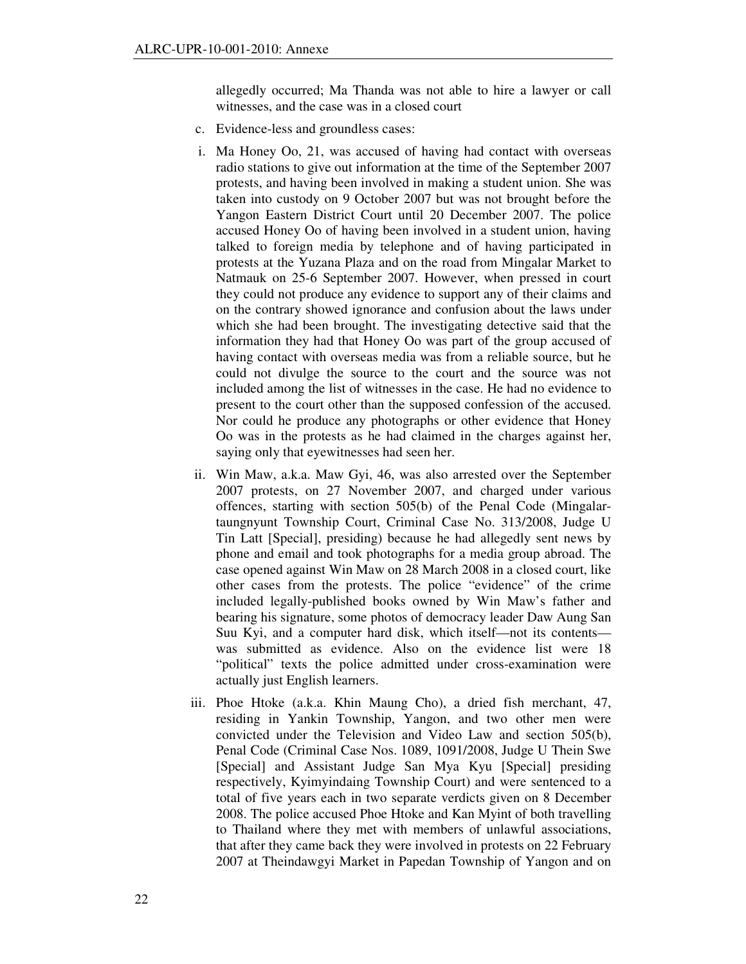allegedly occurred; Ma Thanda was not able to hire a lawyer or call witnesses, and the case was in a closed court

- c. Evidence-less and groundless cases:
- i. Ma Honey Oo, 21, was accused of having had contact with overseas radio stations to give out information at the time of the September 2007 protests, and having been involved in making a student union. She was taken into custody on 9 October 2007 but was not brought before the Yangon Eastern District Court until 20 December 2007. The police accused Honey Oo of having been involved in a student union, having talked to foreign media by telephone and of having participated in protests at the Yuzana Plaza and on the road from Mingalar Market to Natmauk on 25-6 September 2007. However, when pressed in court they could not produce any evidence to support any of their claims and on the contrary showed ignorance and confusion about the laws under which she had been brought. The investigating detective said that the information they had that Honey Oo was part of the group accused of having contact with overseas media was from a reliable source, but he could not divulge the source to the court and the source was not included among the list of witnesses in the case. He had no evidence to present to the court other than the supposed confession of the accused. Nor could he produce any photographs or other evidence that Honey Oo was in the protests as he had claimed in the charges against her, saying only that eyewitnesses had seen her.
- ii. Win Maw, a.k.a. Maw Gyi, 46, was also arrested over the September 2007 protests, on 27 November 2007, and charged under various offences, starting with section 505(b) of the Penal Code (Mingalartaungnyunt Township Court, Criminal Case No. 313/2008, Judge U Tin Latt [Special], presiding) because he had allegedly sent news by phone and email and took photographs for a media group abroad. The case opened against Win Maw on 28 March 2008 in a closed court, like other cases from the protests. The police "evidence" of the crime included legally-published books owned by Win Maw's father and bearing his signature, some photos of democracy leader Daw Aung San Suu Kyi, and a computer hard disk, which itself—not its contents was submitted as evidence. Also on the evidence list were 18 "political" texts the police admitted under cross-examination were actually just English learners.
- iii. Phoe Htoke (a.k.a. Khin Maung Cho), a dried fish merchant, 47, residing in Yankin Township, Yangon, and two other men were convicted under the Television and Video Law and section 505(b), Penal Code (Criminal Case Nos. 1089, 1091/2008, Judge U Thein Swe [Special] and Assistant Judge San Mya Kyu [Special] presiding respectively, Kyimyindaing Township Court) and were sentenced to a total of five years each in two separate verdicts given on 8 December 2008. The police accused Phoe Htoke and Kan Myint of both travelling to Thailand where they met with members of unlawful associations, that after they came back they were involved in protests on 22 February 2007 at Theindawgyi Market in Papedan Township of Yangon and on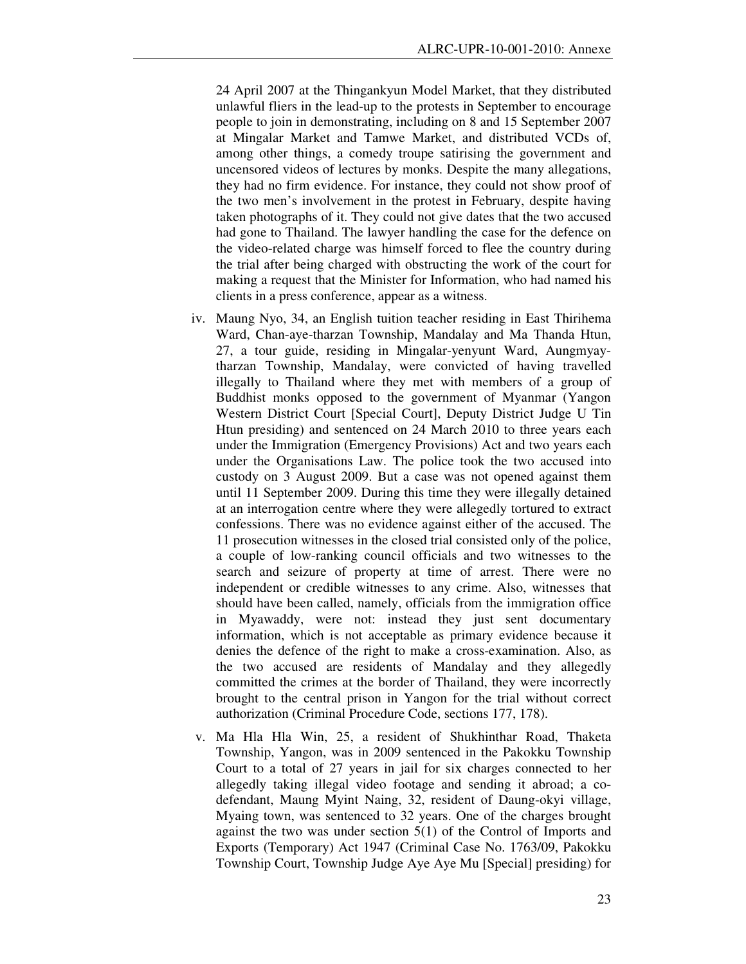24 April 2007 at the Thingankyun Model Market, that they distributed unlawful fliers in the lead-up to the protests in September to encourage people to join in demonstrating, including on 8 and 15 September 2007 at Mingalar Market and Tamwe Market, and distributed VCDs of, among other things, a comedy troupe satirising the government and uncensored videos of lectures by monks. Despite the many allegations, they had no firm evidence. For instance, they could not show proof of the two men's involvement in the protest in February, despite having taken photographs of it. They could not give dates that the two accused had gone to Thailand. The lawyer handling the case for the defence on the video-related charge was himself forced to flee the country during the trial after being charged with obstructing the work of the court for making a request that the Minister for Information, who had named his clients in a press conference, appear as a witness.

- iv. Maung Nyo, 34, an English tuition teacher residing in East Thirihema Ward, Chan-aye-tharzan Township, Mandalay and Ma Thanda Htun, 27, a tour guide, residing in Mingalar-yenyunt Ward, Aungmyaytharzan Township, Mandalay, were convicted of having travelled illegally to Thailand where they met with members of a group of Buddhist monks opposed to the government of Myanmar (Yangon Western District Court [Special Court], Deputy District Judge U Tin Htun presiding) and sentenced on 24 March 2010 to three years each under the Immigration (Emergency Provisions) Act and two years each under the Organisations Law. The police took the two accused into custody on 3 August 2009. But a case was not opened against them until 11 September 2009. During this time they were illegally detained at an interrogation centre where they were allegedly tortured to extract confessions. There was no evidence against either of the accused. The 11 prosecution witnesses in the closed trial consisted only of the police, a couple of low-ranking council officials and two witnesses to the search and seizure of property at time of arrest. There were no independent or credible witnesses to any crime. Also, witnesses that should have been called, namely, officials from the immigration office in Myawaddy, were not: instead they just sent documentary information, which is not acceptable as primary evidence because it denies the defence of the right to make a cross-examination. Also, as the two accused are residents of Mandalay and they allegedly committed the crimes at the border of Thailand, they were incorrectly brought to the central prison in Yangon for the trial without correct authorization (Criminal Procedure Code, sections 177, 178).
- v. Ma Hla Hla Win, 25, a resident of Shukhinthar Road, Thaketa Township, Yangon, was in 2009 sentenced in the Pakokku Township Court to a total of 27 years in jail for six charges connected to her allegedly taking illegal video footage and sending it abroad; a codefendant, Maung Myint Naing, 32, resident of Daung-okyi village, Myaing town, was sentenced to 32 years. One of the charges brought against the two was under section 5(1) of the Control of Imports and Exports (Temporary) Act 1947 (Criminal Case No. 1763/09, Pakokku Township Court, Township Judge Aye Aye Mu [Special] presiding) for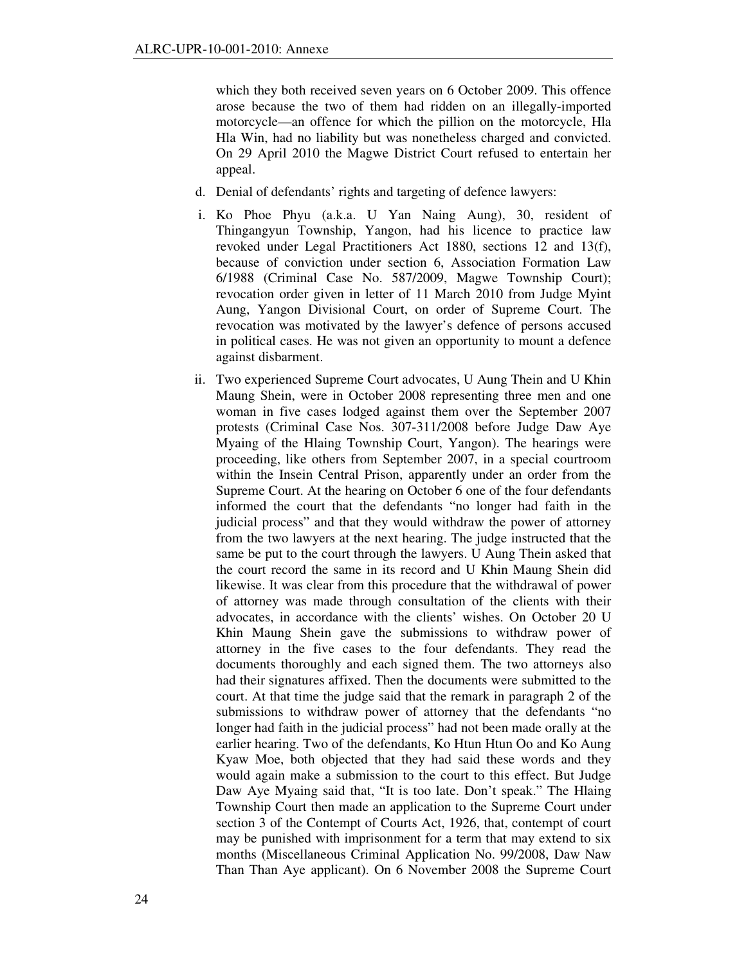which they both received seven years on 6 October 2009. This offence arose because the two of them had ridden on an illegally-imported motorcycle—an offence for which the pillion on the motorcycle, Hla Hla Win, had no liability but was nonetheless charged and convicted. On 29 April 2010 the Magwe District Court refused to entertain her appeal.

- d. Denial of defendants' rights and targeting of defence lawyers:
- i. Ko Phoe Phyu (a.k.a. U Yan Naing Aung), 30, resident of Thingangyun Township, Yangon, had his licence to practice law revoked under Legal Practitioners Act 1880, sections 12 and 13(f), because of conviction under section 6, Association Formation Law 6/1988 (Criminal Case No. 587/2009, Magwe Township Court); revocation order given in letter of 11 March 2010 from Judge Myint Aung, Yangon Divisional Court, on order of Supreme Court. The revocation was motivated by the lawyer's defence of persons accused in political cases. He was not given an opportunity to mount a defence against disbarment.
- ii. Two experienced Supreme Court advocates, U Aung Thein and U Khin Maung Shein, were in October 2008 representing three men and one woman in five cases lodged against them over the September 2007 protests (Criminal Case Nos. 307-311/2008 before Judge Daw Aye Myaing of the Hlaing Township Court, Yangon). The hearings were proceeding, like others from September 2007, in a special courtroom within the Insein Central Prison, apparently under an order from the Supreme Court. At the hearing on October 6 one of the four defendants informed the court that the defendants "no longer had faith in the judicial process" and that they would withdraw the power of attorney from the two lawyers at the next hearing. The judge instructed that the same be put to the court through the lawyers. U Aung Thein asked that the court record the same in its record and U Khin Maung Shein did likewise. It was clear from this procedure that the withdrawal of power of attorney was made through consultation of the clients with their advocates, in accordance with the clients' wishes. On October 20 U Khin Maung Shein gave the submissions to withdraw power of attorney in the five cases to the four defendants. They read the documents thoroughly and each signed them. The two attorneys also had their signatures affixed. Then the documents were submitted to the court. At that time the judge said that the remark in paragraph 2 of the submissions to withdraw power of attorney that the defendants "no longer had faith in the judicial process" had not been made orally at the earlier hearing. Two of the defendants, Ko Htun Htun Oo and Ko Aung Kyaw Moe, both objected that they had said these words and they would again make a submission to the court to this effect. But Judge Daw Aye Myaing said that, "It is too late. Don't speak." The Hlaing Township Court then made an application to the Supreme Court under section 3 of the Contempt of Courts Act, 1926, that, contempt of court may be punished with imprisonment for a term that may extend to six months (Miscellaneous Criminal Application No. 99/2008, Daw Naw Than Than Aye applicant). On 6 November 2008 the Supreme Court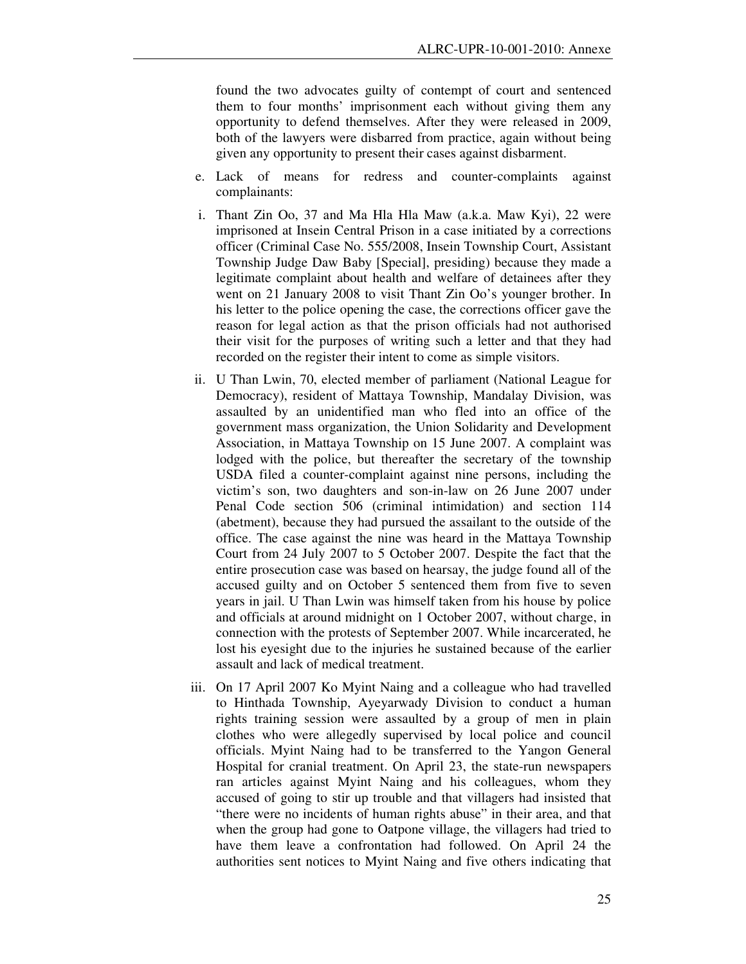found the two advocates guilty of contempt of court and sentenced them to four months' imprisonment each without giving them any opportunity to defend themselves. After they were released in 2009, both of the lawyers were disbarred from practice, again without being given any opportunity to present their cases against disbarment.

- e. Lack of means for redress and counter-complaints against complainants:
- i. Thant Zin Oo, 37 and Ma Hla Hla Maw (a.k.a. Maw Kyi), 22 were imprisoned at Insein Central Prison in a case initiated by a corrections officer (Criminal Case No. 555/2008, Insein Township Court, Assistant Township Judge Daw Baby [Special], presiding) because they made a legitimate complaint about health and welfare of detainees after they went on 21 January 2008 to visit Thant Zin Oo's younger brother. In his letter to the police opening the case, the corrections officer gave the reason for legal action as that the prison officials had not authorised their visit for the purposes of writing such a letter and that they had recorded on the register their intent to come as simple visitors.
- ii. U Than Lwin, 70, elected member of parliament (National League for Democracy), resident of Mattaya Township, Mandalay Division, was assaulted by an unidentified man who fled into an office of the government mass organization, the Union Solidarity and Development Association, in Mattaya Township on 15 June 2007. A complaint was lodged with the police, but thereafter the secretary of the township USDA filed a counter-complaint against nine persons, including the victim's son, two daughters and son-in-law on 26 June 2007 under Penal Code section 506 (criminal intimidation) and section 114 (abetment), because they had pursued the assailant to the outside of the office. The case against the nine was heard in the Mattaya Township Court from 24 July 2007 to 5 October 2007. Despite the fact that the entire prosecution case was based on hearsay, the judge found all of the accused guilty and on October 5 sentenced them from five to seven years in jail. U Than Lwin was himself taken from his house by police and officials at around midnight on 1 October 2007, without charge, in connection with the protests of September 2007. While incarcerated, he lost his eyesight due to the injuries he sustained because of the earlier assault and lack of medical treatment.
- iii. On 17 April 2007 Ko Myint Naing and a colleague who had travelled to Hinthada Township, Ayeyarwady Division to conduct a human rights training session were assaulted by a group of men in plain clothes who were allegedly supervised by local police and council officials. Myint Naing had to be transferred to the Yangon General Hospital for cranial treatment. On April 23, the state-run newspapers ran articles against Myint Naing and his colleagues, whom they accused of going to stir up trouble and that villagers had insisted that "there were no incidents of human rights abuse" in their area, and that when the group had gone to Oatpone village, the villagers had tried to have them leave a confrontation had followed. On April 24 the authorities sent notices to Myint Naing and five others indicating that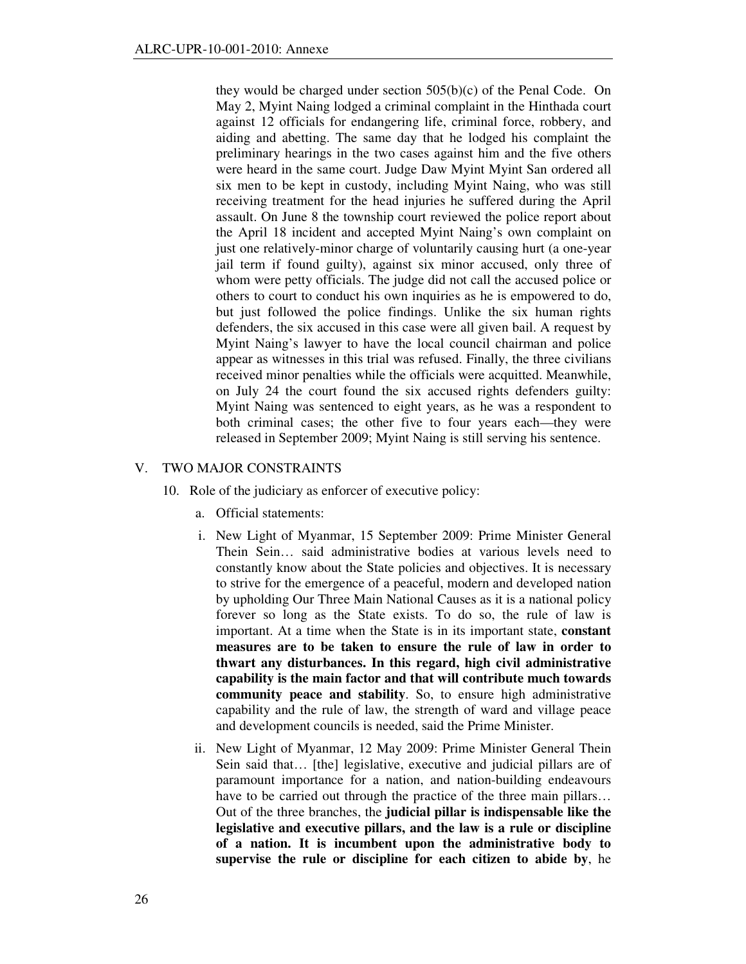they would be charged under section 505(b)(c) of the Penal Code. On May 2, Myint Naing lodged a criminal complaint in the Hinthada court against 12 officials for endangering life, criminal force, robbery, and aiding and abetting. The same day that he lodged his complaint the preliminary hearings in the two cases against him and the five others were heard in the same court. Judge Daw Myint Myint San ordered all six men to be kept in custody, including Myint Naing, who was still receiving treatment for the head injuries he suffered during the April assault. On June 8 the township court reviewed the police report about the April 18 incident and accepted Myint Naing's own complaint on just one relatively-minor charge of voluntarily causing hurt (a one-year jail term if found guilty), against six minor accused, only three of whom were petty officials. The judge did not call the accused police or others to court to conduct his own inquiries as he is empowered to do, but just followed the police findings. Unlike the six human rights defenders, the six accused in this case were all given bail. A request by Myint Naing's lawyer to have the local council chairman and police appear as witnesses in this trial was refused. Finally, the three civilians received minor penalties while the officials were acquitted. Meanwhile, on July 24 the court found the six accused rights defenders guilty: Myint Naing was sentenced to eight years, as he was a respondent to both criminal cases; the other five to four years each—they were released in September 2009; Myint Naing is still serving his sentence.

## V. TWO MAJOR CONSTRAINTS

- 10. Role of the judiciary as enforcer of executive policy:
	- a. Official statements:
	- i. New Light of Myanmar, 15 September 2009: Prime Minister General Thein Sein… said administrative bodies at various levels need to constantly know about the State policies and objectives. It is necessary to strive for the emergence of a peaceful, modern and developed nation by upholding Our Three Main National Causes as it is a national policy forever so long as the State exists. To do so, the rule of law is important. At a time when the State is in its important state, **constant measures are to be taken to ensure the rule of law in order to thwart any disturbances. In this regard, high civil administrative capability is the main factor and that will contribute much towards community peace and stability**. So, to ensure high administrative capability and the rule of law, the strength of ward and village peace and development councils is needed, said the Prime Minister.
	- ii. New Light of Myanmar, 12 May 2009: Prime Minister General Thein Sein said that… [the] legislative, executive and judicial pillars are of paramount importance for a nation, and nation-building endeavours have to be carried out through the practice of the three main pillars... Out of the three branches, the **judicial pillar is indispensable like the legislative and executive pillars, and the law is a rule or discipline of a nation. It is incumbent upon the administrative body to supervise the rule or discipline for each citizen to abide by**, he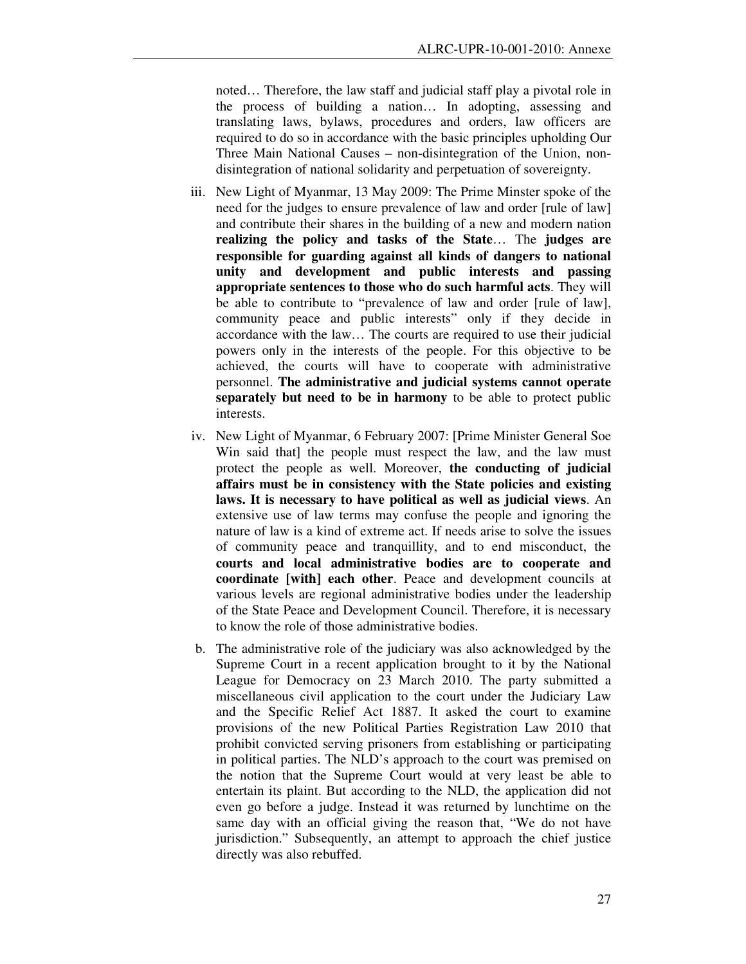noted… Therefore, the law staff and judicial staff play a pivotal role in the process of building a nation… In adopting, assessing and translating laws, bylaws, procedures and orders, law officers are required to do so in accordance with the basic principles upholding Our Three Main National Causes – non-disintegration of the Union, nondisintegration of national solidarity and perpetuation of sovereignty.

- iii. New Light of Myanmar, 13 May 2009: The Prime Minster spoke of the need for the judges to ensure prevalence of law and order [rule of law] and contribute their shares in the building of a new and modern nation **realizing the policy and tasks of the State**… The **judges are responsible for guarding against all kinds of dangers to national unity and development and public interests and passing appropriate sentences to those who do such harmful acts**. They will be able to contribute to "prevalence of law and order [rule of law], community peace and public interests" only if they decide in accordance with the law… The courts are required to use their judicial powers only in the interests of the people. For this objective to be achieved, the courts will have to cooperate with administrative personnel. **The administrative and judicial systems cannot operate separately but need to be in harmony** to be able to protect public interests.
- iv. New Light of Myanmar, 6 February 2007: [Prime Minister General Soe Win said that] the people must respect the law, and the law must protect the people as well. Moreover, **the conducting of judicial affairs must be in consistency with the State policies and existing laws. It is necessary to have political as well as judicial views**. An extensive use of law terms may confuse the people and ignoring the nature of law is a kind of extreme act. If needs arise to solve the issues of community peace and tranquillity, and to end misconduct, the **courts and local administrative bodies are to cooperate and coordinate [with] each other**. Peace and development councils at various levels are regional administrative bodies under the leadership of the State Peace and Development Council. Therefore, it is necessary to know the role of those administrative bodies.
- b. The administrative role of the judiciary was also acknowledged by the Supreme Court in a recent application brought to it by the National League for Democracy on 23 March 2010. The party submitted a miscellaneous civil application to the court under the Judiciary Law and the Specific Relief Act 1887. It asked the court to examine provisions of the new Political Parties Registration Law 2010 that prohibit convicted serving prisoners from establishing or participating in political parties. The NLD's approach to the court was premised on the notion that the Supreme Court would at very least be able to entertain its plaint. But according to the NLD, the application did not even go before a judge. Instead it was returned by lunchtime on the same day with an official giving the reason that, "We do not have jurisdiction." Subsequently, an attempt to approach the chief justice directly was also rebuffed.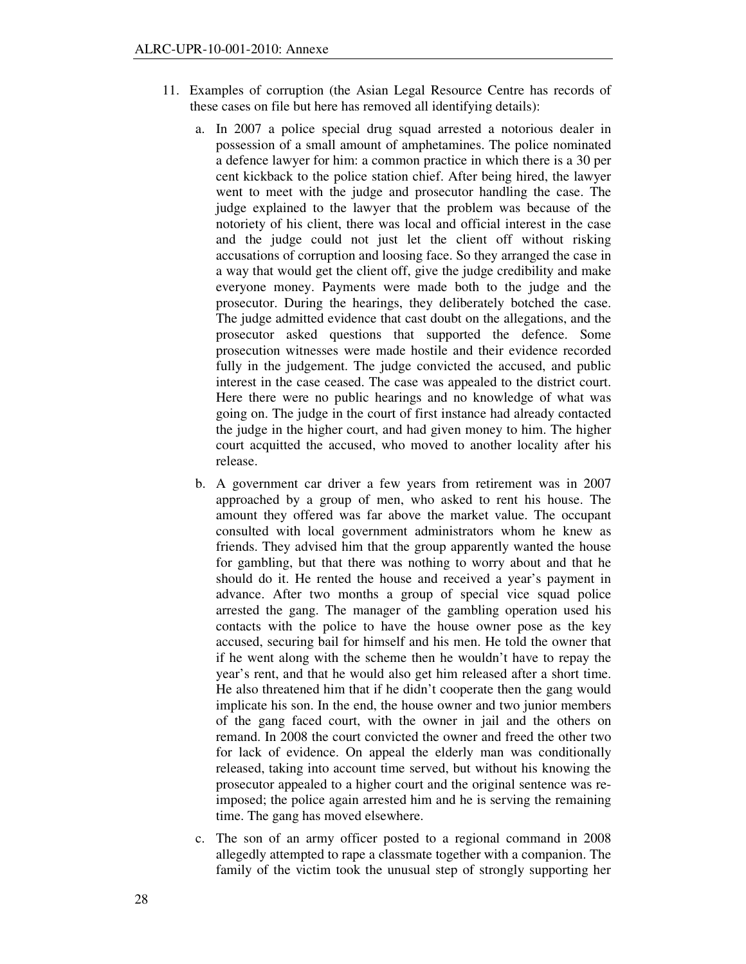- 11. Examples of corruption (the Asian Legal Resource Centre has records of these cases on file but here has removed all identifying details):
	- a. In 2007 a police special drug squad arrested a notorious dealer in possession of a small amount of amphetamines. The police nominated a defence lawyer for him: a common practice in which there is a 30 per cent kickback to the police station chief. After being hired, the lawyer went to meet with the judge and prosecutor handling the case. The judge explained to the lawyer that the problem was because of the notoriety of his client, there was local and official interest in the case and the judge could not just let the client off without risking accusations of corruption and loosing face. So they arranged the case in a way that would get the client off, give the judge credibility and make everyone money. Payments were made both to the judge and the prosecutor. During the hearings, they deliberately botched the case. The judge admitted evidence that cast doubt on the allegations, and the prosecutor asked questions that supported the defence. Some prosecution witnesses were made hostile and their evidence recorded fully in the judgement. The judge convicted the accused, and public interest in the case ceased. The case was appealed to the district court. Here there were no public hearings and no knowledge of what was going on. The judge in the court of first instance had already contacted the judge in the higher court, and had given money to him. The higher court acquitted the accused, who moved to another locality after his release.
	- b. A government car driver a few years from retirement was in 2007 approached by a group of men, who asked to rent his house. The amount they offered was far above the market value. The occupant consulted with local government administrators whom he knew as friends. They advised him that the group apparently wanted the house for gambling, but that there was nothing to worry about and that he should do it. He rented the house and received a year's payment in advance. After two months a group of special vice squad police arrested the gang. The manager of the gambling operation used his contacts with the police to have the house owner pose as the key accused, securing bail for himself and his men. He told the owner that if he went along with the scheme then he wouldn't have to repay the year's rent, and that he would also get him released after a short time. He also threatened him that if he didn't cooperate then the gang would implicate his son. In the end, the house owner and two junior members of the gang faced court, with the owner in jail and the others on remand. In 2008 the court convicted the owner and freed the other two for lack of evidence. On appeal the elderly man was conditionally released, taking into account time served, but without his knowing the prosecutor appealed to a higher court and the original sentence was reimposed; the police again arrested him and he is serving the remaining time. The gang has moved elsewhere.
	- c. The son of an army officer posted to a regional command in 2008 allegedly attempted to rape a classmate together with a companion. The family of the victim took the unusual step of strongly supporting her